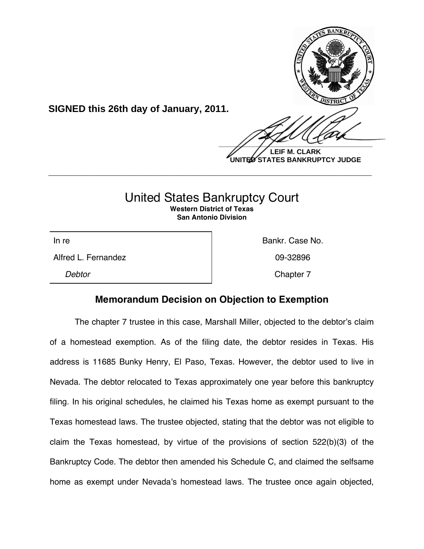

**UNITED STATES BANKRUPTCY JUDGE**

## United States Bankruptcy Court **Western District of Texas San Antonio Division**

**\_\_\_\_\_\_\_\_\_\_\_\_\_\_\_\_\_\_\_\_\_\_\_\_\_\_\_\_\_\_\_\_\_\_\_\_\_\_\_\_\_\_\_\_\_\_\_\_\_\_\_\_\_\_\_\_\_\_\_\_**

Alfred L. Fernandez **1994** 09-32896

**SIGNED this 26th day of January, 2011.**

In re **Bankr.** Case No.

**Debtor** Chapter 7

## **Memorandum Decision on Objection to Exemption**

The chapter 7 trustee in this case, Marshall Miller, objected to the debtor's claim of a homestead exemption. As of the filing date, the debtor resides in Texas. His address is 11685 Bunky Henry, El Paso, Texas. However, the debtor used to live in Nevada. The debtor relocated to Texas approximately one year before this bankruptcy filing. In his original schedules, he claimed his Texas home as exempt pursuant to the Texas homestead laws. The trustee objected, stating that the debtor was not eligible to claim the Texas homestead, by virtue of the provisions of section 522(b)(3) of the Bankruptcy Code. The debtor then amended his Schedule C, and claimed the selfsame home as exempt under Nevada's homestead laws. The trustee once again objected,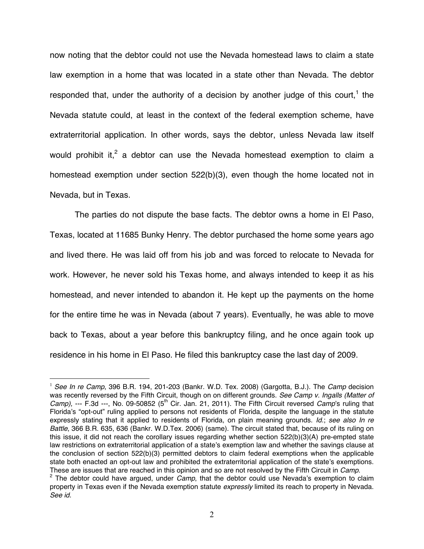now noting that the debtor could not use the Nevada homestead laws to claim a state law exemption in a home that was located in a state other than Nevada. The debtor responded that, under the authority of a decision by another judge of this court,<sup>1</sup> the Nevada statute could, at least in the context of the federal exemption scheme, have extraterritorial application. In other words, says the debtor, unless Nevada law itself would prohibit it,<sup>2</sup> a debtor can use the Nevada homestead exemption to claim a homestead exemption under section 522(b)(3), even though the home located not in Nevada, but in Texas.

The parties do not dispute the base facts. The debtor owns a home in El Paso, Texas, located at 11685 Bunky Henry. The debtor purchased the home some years ago and lived there. He was laid off from his job and was forced to relocate to Nevada for work. However, he never sold his Texas home, and always intended to keep it as his homestead, and never intended to abandon it. He kept up the payments on the home for the entire time he was in Nevada (about 7 years). Eventually, he was able to move back to Texas, about a year before this bankruptcy filing, and he once again took up residence in his home in El Paso. He filed this bankruptcy case the last day of 2009.

 <sup>1</sup> *See In re Camp*, 396 B.R. 194, 201-203 (Bankr. W.D. Tex. 2008) (Gargotta, B.J.). The *Camp* decision was recently reversed by the Fifth Circuit, though on on different grounds. *See Camp v. Ingalls (Matter of Camp), --- F.3d ---, No. 09-50852* (5<sup>th</sup> Cir. Jan. 21, 2011). The Fifth Circuit reversed *Camp*'s ruling that Florida's "opt-out" ruling applied to persons not residents of Florida, despite the language in the statute expressly stating that it applied to residents of Florida, on plain meaning grounds. *Id.*; *see also In re Battle*, 366 B.R. 635, 636 (Bankr. W.D.Tex. 2006) (same). The circuit stated that, because of its ruling on this issue, it did not reach the corollary issues regarding whether section 522(b)(3)(A) pre-empted state law restrictions on extraterritorial application of a state's exemption law and whether the savings clause at the conclusion of section 522(b)(3) permitted debtors to claim federal exemptions when the applicable state both enacted an opt-out law and prohibited the extraterritorial application of the state's exemptions.

These are issues that are reached in this opinion and so are not resolved by the Fifth Circuit in *Camp.*<br><sup>2</sup> The debtor could have argued, under *Camp*, that the debtor could use Nevada's exemption to claim property in Texas even if the Nevada exemption statute *expressly* limited its reach to property in Nevada. *See id.*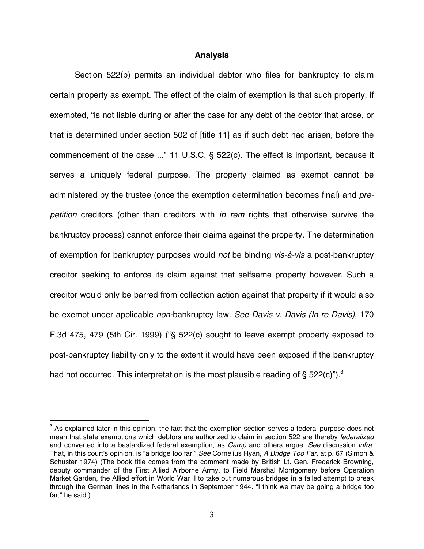## **Analysis**

Section 522(b) permits an individual debtor who files for bankruptcy to claim certain property as exempt. The effect of the claim of exemption is that such property, if exempted, "is not liable during or after the case for any debt of the debtor that arose, or that is determined under section 502 of [title 11] as if such debt had arisen, before the commencement of the case ..." 11 U.S.C. § 522(c). The effect is important, because it serves a uniquely federal purpose. The property claimed as exempt cannot be administered by the trustee (once the exemption determination becomes final) and *prepetition* creditors (other than creditors with *in rem* rights that otherwise survive the bankruptcy process) cannot enforce their claims against the property. The determination of exemption for bankruptcy purposes would *not* be binding *vis-à-vis* a post-bankruptcy creditor seeking to enforce its claim against that selfsame property however. Such a creditor would only be barred from collection action against that property if it would also be exempt under applicable *non-*bankruptcy law. *See Davis v. Davis (In re Davis)*, 170 F.3d 475, 479 (5th Cir. 1999) ("§ 522(c) sought to leave exempt property exposed to post-bankruptcy liability only to the extent it would have been exposed if the bankruptcy had not occurred. This interpretation is the most plausible reading of § 522(c)").<sup>3</sup>

 $3$  As explained later in this opinion, the fact that the exemption section serves a federal purpose does not mean that state exemptions which debtors are authorized to claim in section 522 are thereby *federalized* and converted into a bastardized federal exemption, as *Camp* and others argue. *See* discussion *infra*. That, in this court's opinion, is "a bridge too far." *See* Cornelius Ryan, *A Bridge Too Far*, at p. 67 (Simon & Schuster 1974) (The book title comes from the comment made by British Lt. Gen. Frederick Browning, deputy commander of the First Allied Airborne Army, to Field Marshal Montgomery before Operation Market Garden, the Allied effort in World War II to take out numerous bridges in a failed attempt to break through the German lines in the Netherlands in September 1944. "I think we may be going a bridge too far," he said.)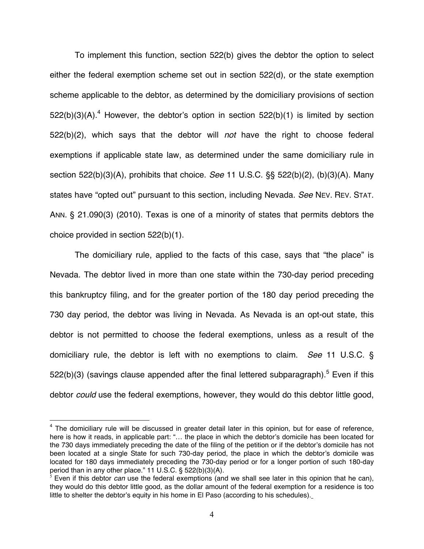To implement this function, section 522(b) gives the debtor the option to select either the federal exemption scheme set out in section 522(d), or the state exemption scheme applicable to the debtor, as determined by the domiciliary provisions of section  $522(b)(3)(A).$ <sup>4</sup> However, the debtor's option in section  $522(b)(1)$  is limited by section 522(b)(2), which says that the debtor will *not* have the right to choose federal exemptions if applicable state law, as determined under the same domiciliary rule in section 522(b)(3)(A), prohibits that choice. *See* 11 U.S.C. §§ 522(b)(2), (b)(3)(A). Many states have "opted out" pursuant to this section, including Nevada. *See* NEV. REV. STAT. ANN. § 21.090(3) (2010). Texas is one of a minority of states that permits debtors the choice provided in section 522(b)(1).

The domiciliary rule, applied to the facts of this case, says that "the place" is Nevada. The debtor lived in more than one state within the 730-day period preceding this bankruptcy filing, and for the greater portion of the 180 day period preceding the 730 day period, the debtor was living in Nevada. As Nevada is an opt-out state, this debtor is not permitted to choose the federal exemptions, unless as a result of the domiciliary rule, the debtor is left with no exemptions to claim. *See* 11 U.S.C. § 522(b)(3) (savings clause appended after the final lettered subparagraph).<sup>5</sup> Even if this debtor *could* use the federal exemptions, however, they would do this debtor little good,

<sup>&</sup>lt;sup>4</sup> The domiciliary rule will be discussed in greater detail later in this opinion, but for ease of reference, here is how it reads, in applicable part: "... the place in which the debtor's domicile has been located for the 730 days immediately preceding the date of the filing of the petition or if the debtor's domicile has not been located at a single State for such 730-day period, the place in which the debtor's domicile was located for 180 days immediately preceding the 730-day period or for a longer portion of such 180-day period than in any other place." 11 U.S.C. § 522(b)(3)(A).

<sup>&</sup>lt;sup>5</sup> Even if this debtor *can* use the federal exemptions (and we shall see later in this opinion that he can), they would do this debtor little good, as the dollar amount of the federal exemption for a residence is too little to shelter the debtor's equity in his home in El Paso (according to his schedules).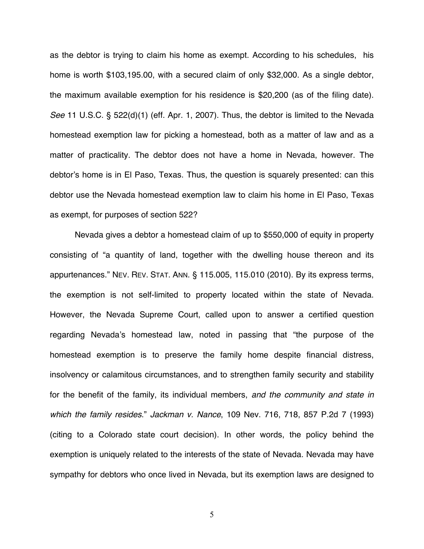as the debtor is trying to claim his home as exempt. According to his schedules, his home is worth \$103,195.00, with a secured claim of only \$32,000. As a single debtor, the maximum available exemption for his residence is \$20,200 (as of the filing date). *See* 11 U.S.C. § 522(d)(1) (eff. Apr. 1, 2007). Thus, the debtor is limited to the Nevada homestead exemption law for picking a homestead, both as a matter of law and as a matter of practicality. The debtor does not have a home in Nevada, however. The debtor's home is in El Paso, Texas. Thus, the question is squarely presented: can this debtor use the Nevada homestead exemption law to claim his home in El Paso, Texas as exempt, for purposes of section 522?

Nevada gives a debtor a homestead claim of up to \$550,000 of equity in property consisting of "a quantity of land, together with the dwelling house thereon and its appurtenances." NEV. REV. STAT. ANN. § 115.005, 115.010 (2010). By its express terms, the exemption is not self-limited to property located within the state of Nevada. However, the Nevada Supreme Court, called upon to answer a certified question regarding Nevada's homestead law, noted in passing that "the purpose of the homestead exemption is to preserve the family home despite financial distress, insolvency or calamitous circumstances, and to strengthen family security and stability for the benefit of the family, its individual members, *and the community and state in which the family resides*." *Jackman v. Nance*, 109 Nev. 716, 718, 857 P.2d 7 (1993) (citing to a Colorado state court decision). In other words, the policy behind the exemption is uniquely related to the interests of the state of Nevada. Nevada may have sympathy for debtors who once lived in Nevada, but its exemption laws are designed to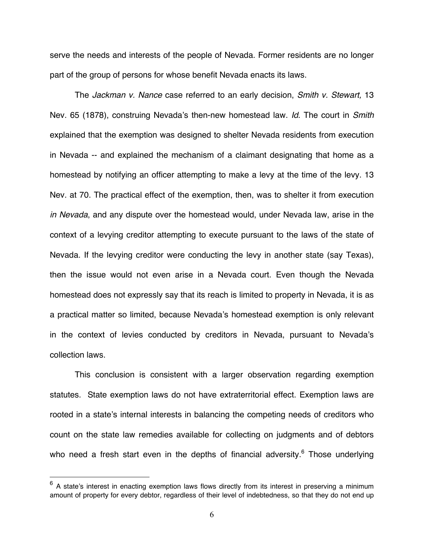serve the needs and interests of the people of Nevada. Former residents are no longer part of the group of persons for whose benefit Nevada enacts its laws.

The *Jackman v. Nance* case referred to an early decision, *Smith v. Stewart,* 13 Nev. 65 (1878), construing Nevada's then-new homestead law. *Id*. The court in *Smith* explained that the exemption was designed to shelter Nevada residents from execution in Nevada -- and explained the mechanism of a claimant designating that home as a homestead by notifying an officer attempting to make a levy at the time of the levy. 13 Nev. at 70. The practical effect of the exemption, then, was to shelter it from execution *in Nevada*, and any dispute over the homestead would, under Nevada law, arise in the context of a levying creditor attempting to execute pursuant to the laws of the state of Nevada. If the levying creditor were conducting the levy in another state (say Texas), then the issue would not even arise in a Nevada court. Even though the Nevada homestead does not expressly say that its reach is limited to property in Nevada, it is as a practical matter so limited, because Nevada's homestead exemption is only relevant in the context of levies conducted by creditors in Nevada, pursuant to Nevada's collection laws.

This conclusion is consistent with a larger observation regarding exemption statutes. State exemption laws do not have extraterritorial effect. Exemption laws are rooted in a state's internal interests in balancing the competing needs of creditors who count on the state law remedies available for collecting on judgments and of debtors who need a fresh start even in the depths of financial adversity.<sup>6</sup> Those underlying

 $6$  A state's interest in enacting exemption laws flows directly from its interest in preserving a minimum amount of property for every debtor, regardless of their level of indebtedness, so that they do not end up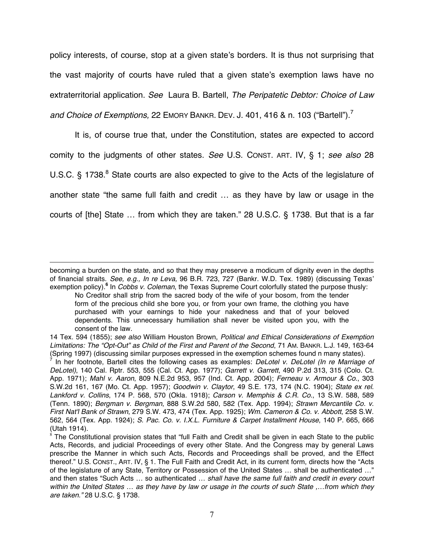policy interests, of course, stop at a given state's borders. It is thus not surprising that the vast majority of courts have ruled that a given state's exemption laws have no extraterritorial application. *See* Laura B. Bartell, *The Peripatetic Debtor: Choice of Law and Choice of Exemptions,* 22 EMORY BANKR. DEV. J. 401, 416 & n. 103 ("Bartell"). 7

It is, of course true that, under the Constitution, states are expected to accord comity to the judgments of other states. *See* U.S. CONST. ART. IV, § 1; *see also* 28 U.S.C.  $\frac{6}{5}$  1738.<sup>8</sup> State courts are also expected to give to the Acts of the legislature of another state "the same full faith and credit … as they have by law or usage in the courts of [the] State … from which they are taken." 28 U.S.C. § 1738. But that is a far

becoming a burden on the state, and so that they may preserve a modicum of dignity even in the depths of financial straits. *See, e.g., In re Leva,* 96 B.R. 723, 727 (Bankr. W.D. Tex. 1989) (discussing Texas' exemption policy).<sup>6</sup> In *Cobbs v. Coleman*, the Texas Supreme Court colorfully stated the purpose thusly:

 $\overline{a}$ 

No Creditor shall strip from the sacred body of the wife of your bosom, from the tender form of the precious child she bore you, or from your own frame, the clothing you have purchased with your earnings to hide your nakedness and that of your beloved dependents. This unnecessary humiliation shall never be visited upon you, with the consent of the law.

14 Tex. 594 (1855); *see also* William Houston Brown, *Political and Ethical Considerations of Exemption Limitations: The "Opt-Out" as Child of the First and Parent of the Second*, 71 AM. BANKR. L.J. 149, 163-64 (Spring 1997) (discussing similar purposes expressed in the exemption schemes found n many states).

 In her footnote, Bartell cites the following cases as examples: *DeLotel v. DeLotel (In re Marriage of DeLotel)*, 140 Cal. Rptr. 553, 555 (Cal. Ct. App. 1977); *Garrett v. Garrett*, 490 P.2d 313, 315 (Colo. Ct. App. 1971); *Mahl v. Aaron*, 809 N.E.2d 953, 957 (Ind. Ct. App. 2004); *Ferneau v. Armour & Co*., 303 S.W.2d 161, 167 (Mo. Ct. App. 1957); *Goodwin v. Claytor*, 49 S.E. 173, 174 (N.C. 1904); *State ex rel. Lankford v. Collins*, 174 P. 568, 570 (Okla. 1918); *Carson v. Memphis & C.R. Co*., 13 S.W. 588, 589 (Tenn. 1890); *Bergman v. Bergman*, 888 S.W.2d 580, 582 (Tex. App. 1994); *Strawn Mercantile Co. v. First Nat'l Bank of Strawn*, 279 S.W. 473, 474 (Tex. App. 1925); *Wm. Cameron & Co. v. Abbott*, 258 S.W. 562, 564 (Tex. App. 1924); *S. Pac. Co. v. I.X.L. Furniture & Carpet Installment House*, 140 P. 665, 666 (Utah 1914).

 $8$  The Constitutional provision states that "full Faith and Credit shall be given in each State to the public Acts, Records, and judicial Proceedings of every other State. And the Congress may by general Laws prescribe the Manner in which such Acts, Records and Proceedings shall be proved, and the Effect thereof." U.S. CONST., ART. IV, § 1. The Full Faith and Credit Act, in its current form, directs how the "Acts of the legislature of any State, Territory or Possession of the United States … shall be authenticated …" and then states "Such Acts … so authenticated … *shall have the same full faith and credit in every court within the United States … as they have by law or usage in the courts of such State ,…from which they are taken."* 28 U.S.C. § 1738.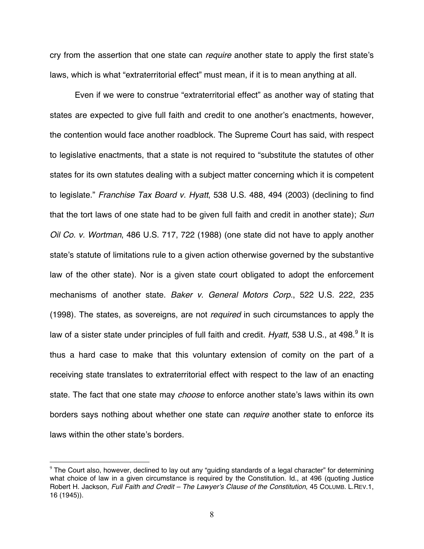cry from the assertion that one state can *require* another state to apply the first state's laws, which is what "extraterritorial effect" must mean, if it is to mean anything at all.

Even if we were to construe "extraterritorial effect" as another way of stating that states are expected to give full faith and credit to one another's enactments, however, the contention would face another roadblock. The Supreme Court has said, with respect to legislative enactments, that a state is not required to "substitute the statutes of other states for its own statutes dealing with a subject matter concerning which it is competent to legislate." *Franchise Tax Board v. Hyatt*, 538 U.S. 488, 494 (2003) (declining to find that the tort laws of one state had to be given full faith and credit in another state); *Sun Oil Co. v. Wortman*, 486 U.S. 717, 722 (1988) (one state did not have to apply another state's statute of limitations rule to a given action otherwise governed by the substantive law of the other state). Nor is a given state court obligated to adopt the enforcement mechanisms of another state. *Baker v. General Motors Corp.*, 522 U.S. 222, 235 (1998). The states, as sovereigns, are not *required* in such circumstances to apply the law of a sister state under principles of full faith and credit. *Hyatt*, 538 U.S., at 498.<sup>9</sup> It is thus a hard case to make that this voluntary extension of comity on the part of a receiving state translates to extraterritorial effect with respect to the law of an enacting state. The fact that one state may *choose* to enforce another state's laws within its own borders says nothing about whether one state can *require* another state to enforce its laws within the other state's borders.

 $9$  The Court also, however, declined to lay out any "guiding standards of a legal character" for determining what choice of law in a given circumstance is required by the Constitution. Id., at 496 (quoting Justice Robert H. Jackson, *Full Faith and Credit – The Lawyer*'*s Clause of the Constitution*, 45 COLUMB. L.REV.1, 16 (1945)).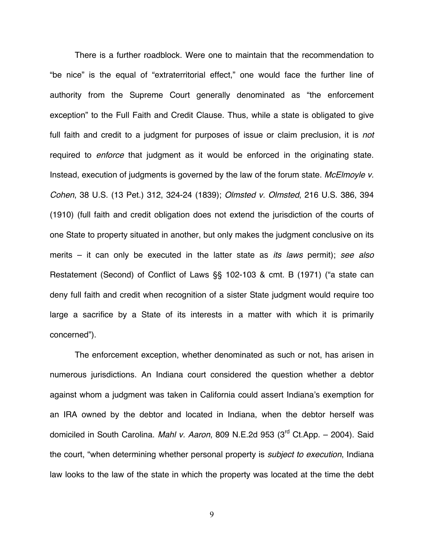There is a further roadblock. Were one to maintain that the recommendation to "be nice" is the equal of "extraterritorial effect," one would face the further line of authority from the Supreme Court generally denominated as "the enforcement exception" to the Full Faith and Credit Clause. Thus, while a state is obligated to give full faith and credit to a judgment for purposes of issue or claim preclusion, it is *not* required to *enforce* that judgment as it would be enforced in the originating state. Instead, execution of judgments is governed by the law of the forum state. *McElmoyle v. Cohen*, 38 U.S. (13 Pet.) 312, 324-24 (1839); *Olmsted v. Olmsted*, 216 U.S. 386, 394 (1910) (full faith and credit obligation does not extend the jurisdiction of the courts of one State to property situated in another, but only makes the judgment conclusive on its merits – it can only be executed in the latter state as *its laws* permit); *see also*  Restatement (Second) of Conflict of Laws §§ 102-103 & cmt. B (1971) ("a state can deny full faith and credit when recognition of a sister State judgment would require too large a sacrifice by a State of its interests in a matter with which it is primarily concerned").

The enforcement exception, whether denominated as such or not, has arisen in numerous jurisdictions. An Indiana court considered the question whether a debtor against whom a judgment was taken in California could assert Indiana's exemption for an IRA owned by the debtor and located in Indiana, when the debtor herself was domiciled in South Carolina. *Mahl v. Aaron*, 809 N.E.2d 953 (3rd Ct.App. – 2004). Said the court, "when determining whether personal property is *subject to execution*, Indiana law looks to the law of the state in which the property was located at the time the debt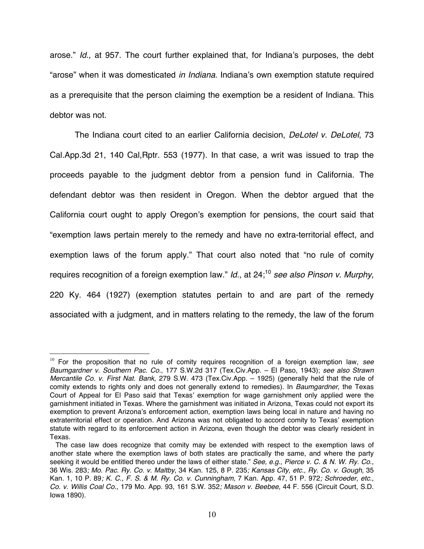arose." *Id.,* at 957. The court further explained that, for Indiana's purposes, the debt "arose" when it was domesticated *in Indiana*. Indiana's own exemption statute required as a prerequisite that the person claiming the exemption be a resident of Indiana. This debtor was not.

The Indiana court cited to an earlier California decision, *DeLotel v. DeLotel*, 73 Cal.App.3d 21, 140 Cal,Rptr. 553 (1977). In that case, a writ was issued to trap the proceeds payable to the judgment debtor from a pension fund in California. The defendant debtor was then resident in Oregon. When the debtor argued that the California court ought to apply Oregon's exemption for pensions, the court said that "exemption laws pertain merely to the remedy and have no extra-territorial effect, and exemption laws of the forum apply." That court also noted that "no rule of comity requires recognition of a foreign exemption law." *Id.*, at 24; <sup>10</sup> *see also Pinson v. Murphy*, 220 Ky. 464 (1927) (exemption statutes pertain to and are part of the remedy associated with a judgment, and in matters relating to the remedy, the law of the forum

 <sup>10</sup> For the proposition that no rule of comity requires recognition of a foreign exemption law, *see Baumgardner v. Southern Pac. Co.*, 177 S.W.2d 317 (Tex.Civ.App. – El Paso, 1943); *see also Strawn Mercantile Co. v. First Nat. Bank*, 279 S.W. 473 (Tex.Civ.App. – 1925) (generally held that the rule of comity extends to rights only and does not generally extend to remedies). In *Baumgardner*, the Texas Court of Appeal for El Paso said that Texas' exemption for wage garnishment only applied were the garnishment initiated in Texas. Where the garnishment was initiated in Arizona, Texas could not export its exemption to prevent Arizona's enforcement action, exemption laws being local in nature and having no extraterritorial effect or operation. And Arizona was not obligated to accord comity to Texas' exemption statute with regard to its enforcement action in Arizona, even though the debtor was clearly resident in Texas.

The case law does recognize that comity may be extended with respect to the exemption laws of another state where the exemption laws of both states are practically the same, and where the party seeking it would be entitled thereo under the laws of either state." *See, e.g., Pierce v. C. & N. W. Ry. Co*., 36 Wis. 283*; Mo. Pac. Ry. Co. v. Maltby*, 34 Kan. 125, 8 P. 235*; Kansas City, etc., Ry. Co. v. Gough,* 35 Kan. 1, 10 P. 89*; K. C., F. S. & M. Ry. Co. v. Cunningham,* 7 Kan. App. 47, 51 P. 972*; Schroeder, etc., Co. v. Willis Coal Co.,* 179 Mo. App. 93, 161 S.W. 352*; Mason v. Beebee*, 44 F. 556 (Circuit Court, S.D. Iowa 1890).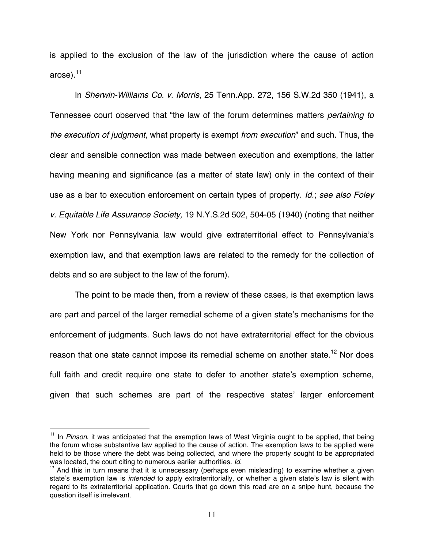is applied to the exclusion of the law of the jurisdiction where the cause of action arose).<sup>11</sup>

In *Sherwin-Williams Co. v. Morris*, 25 Tenn.App. 272, 156 S.W.2d 350 (1941), a Tennessee court observed that "the law of the forum determines matters *pertaining to the execution of judgment*, what property is exempt *from execution*" and such. Thus, the clear and sensible connection was made between execution and exemptions, the latter having meaning and significance (as a matter of state law) only in the context of their use as a bar to execution enforcement on certain types of property. *Id.*; *see also Foley v. Equitable Life Assurance Society,* 19 N.Y.S.2d 502, 504-05 (1940) (noting that neither New York nor Pennsylvania law would give extraterritorial effect to Pennsylvania's exemption law, and that exemption laws are related to the remedy for the collection of debts and so are subject to the law of the forum).

The point to be made then, from a review of these cases, is that exemption laws are part and parcel of the larger remedial scheme of a given state's mechanisms for the enforcement of judgments. Such laws do not have extraterritorial effect for the obvious reason that one state cannot impose its remedial scheme on another state.<sup>12</sup> Nor does full faith and credit require one state to defer to another state's exemption scheme, given that such schemes are part of the respective states' larger enforcement

<sup>&</sup>lt;sup>11</sup> In *Pinson*, it was anticipated that the exemption laws of West Virginia ought to be applied, that being the forum whose substantive law applied to the cause of action. The exemption laws to be applied were held to be those where the debt was being collected, and where the property sought to be appropriated was located, the court citing to numerous earlier authorities. *Id.*

 $12$  And this in turn means that it is unnecessary (perhaps even misleading) to examine whether a given state's exemption law is *intended* to apply extraterritorially, or whether a given state's law is silent with regard to its extraterritorial application. Courts that go down this road are on a snipe hunt, because the question itself is irrelevant.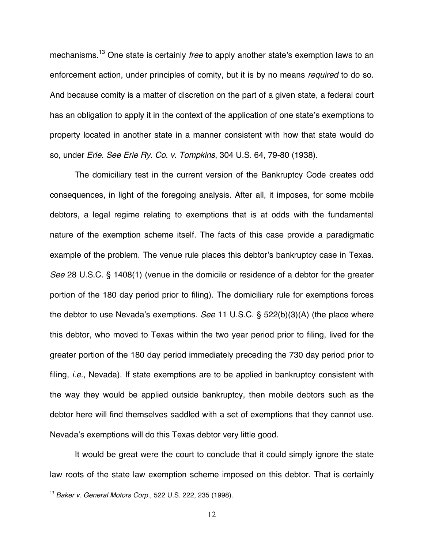mechanisms. 13 One state is certainly *free* to apply another state's exemption laws to an enforcement action, under principles of comity, but it is by no means *required* to do so. And because comity is a matter of discretion on the part of a given state, a federal court has an obligation to apply it in the context of the application of one state's exemptions to property located in another state in a manner consistent with how that state would do so, under *Erie*. *See Erie Ry. Co. v. Tompkins*, 304 U.S. 64, 79-80 (1938).

The domiciliary test in the current version of the Bankruptcy Code creates odd consequences, in light of the foregoing analysis. After all, it imposes, for some mobile debtors, a legal regime relating to exemptions that is at odds with the fundamental nature of the exemption scheme itself. The facts of this case provide a paradigmatic example of the problem. The venue rule places this debtor's bankruptcy case in Texas. *See* 28 U.S.C. § 1408(1) (venue in the domicile or residence of a debtor for the greater portion of the 180 day period prior to filing). The domiciliary rule for exemptions forces the debtor to use Nevada's exemptions. *See* 11 U.S.C. § 522(b)(3)(A) (the place where this debtor, who moved to Texas within the two year period prior to filing, lived for the greater portion of the 180 day period immediately preceding the 730 day period prior to filing, *i.e.*, Nevada). If state exemptions are to be applied in bankruptcy consistent with the way they would be applied outside bankruptcy, then mobile debtors such as the debtor here will find themselves saddled with a set of exemptions that they cannot use. Nevada's exemptions will do this Texas debtor very little good.

It would be great were the court to conclude that it could simply ignore the state law roots of the state law exemption scheme imposed on this debtor. That is certainly

 <sup>13</sup> *Baker v. General Motors Corp.*, 522 U.S. 222, 235 (1998).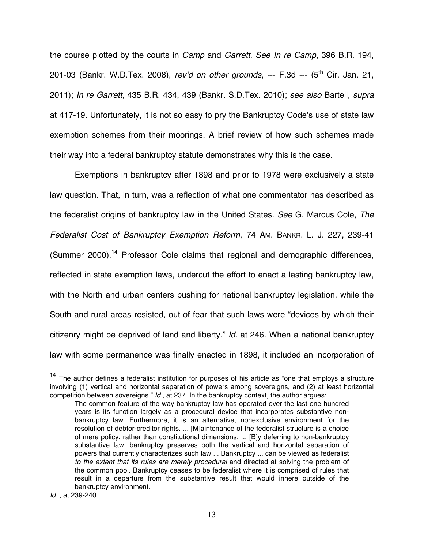the course plotted by the courts in *Camp* and *Garrett*. *See In re Camp*, 396 B.R. 194, 201-03 (Bankr. W.D.Tex. 2008), *rev*'*d on other grounds*, --- F.3d --- (5th Cir. Jan. 21, 2011); *In re Garrett*, 435 B.R. 434, 439 (Bankr. S.D.Tex. 2010); *see also* Bartell, *supra* at 417-19. Unfortunately, it is not so easy to pry the Bankruptcy Code's use of state law exemption schemes from their moorings. A brief review of how such schemes made their way into a federal bankruptcy statute demonstrates why this is the case.

Exemptions in bankruptcy after 1898 and prior to 1978 were exclusively a state law question. That, in turn, was a reflection of what one commentator has described as the federalist origins of bankruptcy law in the United States. *See* G. Marcus Cole, *The Federalist Cost of Bankruptcy Exemption Reform*, 74 AM. BANKR. L. J. 227, 239-41 (Summer 2000).<sup>14</sup> Professor Cole claims that regional and demographic differences, reflected in state exemption laws, undercut the effort to enact a lasting bankruptcy law, with the North and urban centers pushing for national bankruptcy legislation, while the South and rural areas resisted, out of fear that such laws were "devices by which their citizenry might be deprived of land and liberty." *Id.* at 246. When a national bankruptcy law with some permanence was finally enacted in 1898, it included an incorporation of

<sup>&</sup>lt;sup>14</sup> The author defines a federalist institution for purposes of his article as "one that employs a structure involving (1) vertical and horizontal separation of powers among sovereigns, and (2) at least horizontal competition between sovereigns." *Id.*, at 237. In the bankruptcy context, the author argues:

The common feature of the way bankruptcy law has operated over the last one hundred years is its function largely as a procedural device that incorporates substantive nonbankruptcy law. Furthermore, it is an alternative, nonexclusive environment for the resolution of debtor-creditor rights. ... [M]aintenance of the federalist structure is a choice of mere policy, rather than constitutional dimensions. ... [B]y deferring to non-bankruptcy substantive law, bankruptcy preserves both the vertical and horizontal separation of powers that currently characterizes such law ... Bankruptcy ... can be viewed as federalist to the extent that its rules are merely procedural and directed at solving the problem of the common pool. Bankruptcy ceases to be federalist where it is comprised of rules that result in a departure from the substantive result that would inhere outside of the bankruptcy environment.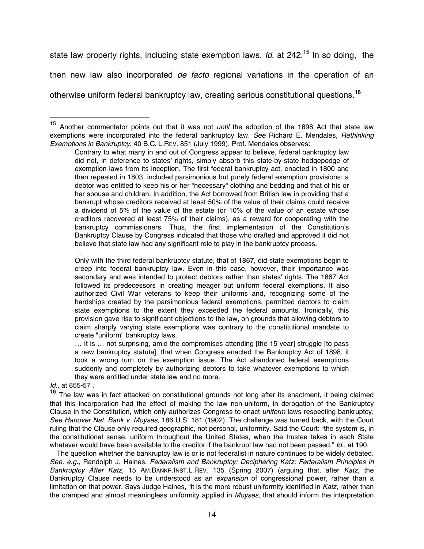state law property rights, including state exemption laws. *Id.* at 242.<sup>15</sup> In so doing, the then new law also incorporated *de facto* regional variations in the operation of an otherwise uniform federal bankruptcy law, creating serious constitutional questions.**<sup>16</sup>**

 $\overline{a}$ 

Only with the third federal bankruptcy statute, that of 1867, did state exemptions begin to creep into federal bankruptcy law. Even in this case, however, their importance was secondary and was intended to protect debtors rather than states' rights. The 1867 Act followed its predecessors in creating meager but uniform federal exemptions. It also authorized Civil War veterans to keep their uniforms and, recognizing some of the hardships created by the parsimonious federal exemptions, permitted debtors to claim state exemptions to the extent they exceeded the federal amounts. Ironically, this provision gave rise to significant objections to the law, on grounds that allowing debtors to claim sharply varying state exemptions was contrary to the constitutional mandate to create "uniform" bankruptcy laws.

… It is … not surprising, amid the compromises attending [the 15 year] struggle [to pass a new bankruptcy statute], that when Congress enacted the Bankruptcy Act of 1898, it took a wrong turn on the exemption issue. The Act abandoned federal exemptions suddenly and completely by authorizing debtors to take whatever exemptions to which they were entitled under state law and no more.

*Id.*, at 855-57 .

<sup>16</sup> The law was in fact attacked on constitutional grounds not long after its enactment, it being claimed that this incorporation had the effect of making the law non-uniform, in derogation of the Bankruptcy Clause in the Constitution, which only authorizes Congress to enact *uniform* laws respecting bankruptcy. *See Hanover Nat. Bank v. Moyses*, 186 U.S. 181 (1902). The challenge was turned back, with the Court ruling that the Clause only required geographic, not personal, uniformity. Said the Court: "the system is, in the constitutional sense, uniform throughout the United States, when the trustee takes in each State whatever would have been available to the creditor if the bankrupt law had not been passed." *Id.,* at 190.

 The question whether the bankruptcy law is or is not federalist in nature continues to be widely debated. *See, e.g.,* Randolph J. Haines, *Federalism and Bankruptcy: Deciphering Katz: Federalism Principles in Bankruptcy After Katz*, 15 AM.BANKR.INST.L.REV. 135 (Spring 2007) (arguing that, after *Katz*, the Bankruptcy Clause needs to be understood as an *expansion* of congressional power, rather than a limitation on that power, Says Judge Haines, "it is the more robust uniformity identified in *Katz*, rather than the cramped and almost meaningless uniformity applied in *Moyses*, that should inform the interpretation

<sup>15</sup> Another commentator points out that it was not *until* the adoption of the 1898 Act that state law exemptions were incorporated into the federal bankruptcy law. *See* Richard E. Mendales, *Rethinking Exemptions in Bankruptcy*, 40 B.C. L.REV. 851 (July 1999). Prof. Mendales observes:

Contrary to what many in and out of Congress appear to believe, federal bankruptcy law did not, in deference to states' rights, simply absorb this state-by-state hodgepodge of exemption laws from its inception. The first federal bankruptcy act, enacted in 1800 and then repealed in 1803, included parsimonious but purely federal exemption provisions: a debtor was entitled to keep his or her "necessary" clothing and bedding and that of his or her spouse and children. In addition, the Act borrowed from British law in providing that a bankrupt whose creditors received at least 50% of the value of their claims could receive a dividend of 5% of the value of the estate (or 10% of the value of an estate whose creditors recovered at least 75% of their claims), as a reward for cooperating with the bankruptcy commissioners. Thus, the first implementation of the Constitution's Bankruptcy Clause by Congress indicated that those who drafted and approved it did not believe that state law had any significant role to play in the bankruptcy process.

<sup>…</sup>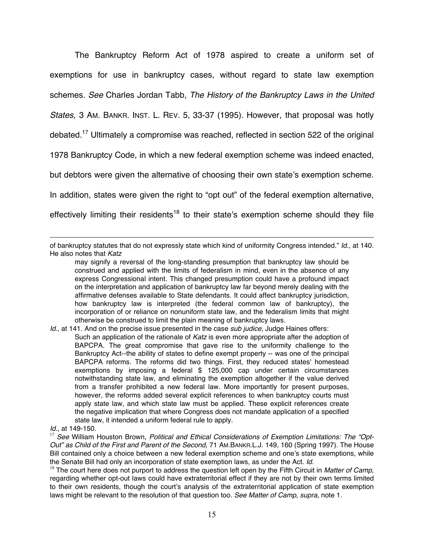The Bankruptcy Reform Act of 1978 aspired to create a uniform set of exemptions for use in bankruptcy cases, without regard to state law exemption schemes. *See* Charles Jordan Tabb, *The History of the Bankruptcy Laws in the United States*, 3 AM. BANKR. INST. L. REV. 5, 33-37 (1995). However, that proposal was hotly debated.<sup>17</sup> Ultimately a compromise was reached, reflected in section 522 of the original 1978 Bankruptcy Code, in which a new federal exemption scheme was indeed enacted, but debtors were given the alternative of choosing their own state's exemption scheme. In addition, states were given the right to "opt out" of the federal exemption alternative, effectively limiting their residents<sup>18</sup> to their state's exemption scheme should they file

*Id.*, at 141. And on the precise issue presented in the case *sub judice*, Judge Haines offers: Such an application of the rationale of *Katz* is even more appropriate after the adoption of BAPCPA. The great compromise that gave rise to the uniformity challenge to the Bankruptcy Act--the ability of states to define exempt property -- was one of the principal BAPCPA reforms. The reforms did two things. First, they reduced states' homestead exemptions by imposing a federal \$ 125,000 cap under certain circumstances notwithstanding state law, and eliminating the exemption altogether if the value derived from a transfer prohibited a new federal law. More importantly for present purposes, however, the reforms added several explicit references to when bankruptcy courts must apply state law, and which state law must be applied. These explicit references create the negative implication that where Congress does not mandate application of a specified state law, it intended a uniform federal rule to apply.

of bankruptcy statutes that do not expressly state which kind of uniformity Congress intended." *Id.*, at 140. He also notes that *Katz* 

may signify a reversal of the long-standing presumption that bankruptcy law should be construed and applied with the limits of federalism in mind, even in the absence of any express Congressional intent. This changed presumption could have a profound impact on the interpretation and application of bankruptcy law far beyond merely dealing with the affirmative defenses available to State defendants. It could affect bankruptcy jurisdiction, how bankruptcy law is interpreted (the federal common law of bankruptcy), the incorporation of or reliance on nonuniform state law, and the federalism limits that might otherwise be construed to limit the plain meaning of bankruptcy laws.

*Id.*, at 149-150.<br><sup>17</sup> See William Houston Brown, *Political and Ethical Considerations of Exemption Limitations: The "Opt-Out" as Child of the First and Parent of the Second,* 71 AM.BANKR.L.J. 149, 160 (Spring 1997). The House Bill contained only a choice between a new federal exemption scheme and one's state exemptions, while the Senate Bill had only an incorporation of state exemption laws, as under the Act. *Id.*

<sup>&</sup>lt;sup>18</sup> The court here does not purport to address the question left open by the Fifth Circuit in *Matter of Camp*, regarding whether opt-out laws could have extraterritorial effect if they are not by their own terms limited to their own residents, though the court's analysis of the extraterritorial application of state exemption laws might be relevant to the resolution of that question too. *See Matter of Camp*, *supra*, note 1.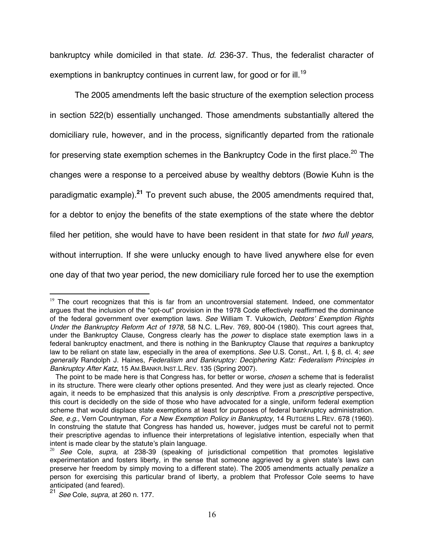bankruptcy while domiciled in that state. *Id*. 236-37. Thus, the federalist character of exemptions in bankruptcy continues in current law, for good or for ill.<sup>19</sup>

The 2005 amendments left the basic structure of the exemption selection process in section 522(b) essentially unchanged. Those amendments substantially altered the domiciliary rule, however, and in the process, significantly departed from the rationale for preserving state exemption schemes in the Bankruptcy Code in the first place.<sup>20</sup> The changes were a response to a perceived abuse by wealthy debtors (Bowie Kuhn is the paradigmatic example).**<sup>21</sup>** To prevent such abuse, the 2005 amendments required that, for a debtor to enjoy the benefits of the state exemptions of the state where the debtor filed her petition, she would have to have been resident in that state for *two full years,*  without interruption. If she were unlucky enough to have lived anywhere else for even one day of that two year period, the new domiciliary rule forced her to use the exemption

 $19$  The court recognizes that this is far from an uncontroversial statement. Indeed, one commentator argues that the inclusion of the "opt-out" provision in the 1978 Code effectively reaffirmed the dominance of the federal government over exemption laws. *See* William T. Vukowich, *Debtors*' *Exemption Rights Under the Bankruptcy Reform Act of 1978*, 58 N.C. L.Rev. 769, 800-04 (1980). This court agrees that, under the Bankruptcy Clause, Congress clearly has the *power* to displace state exemption laws in a federal bankruptcy enactment, and there is nothing in the Bankruptcy Clause that *requires* a bankruptcy law to be reliant on state law, especially in the area of exemptions. *See* U.S. Const., Art. I, § 8, cl. 4; *see generally* Randolph J. Haines, *Federalism and Bankruptcy: Deciphering Katz: Federalism Principles in Bankruptcy After Katz*, 15 AM.BANKR.INST.L.REV. 135 (Spring 2007).

The point to be made here is that Congress has, for better or worse, *chosen* a scheme that is federalist in its structure. There were clearly other options presented. And they were just as clearly rejected. Once again, it needs to be emphasized that this analysis is only *descriptive*. From a *prescriptive* perspective, this court is decidedly on the side of those who have advocated for a single, uniform federal exemption scheme that would displace state exemptions at least for purposes of federal bankruptcy administration. *See, e.g.,* Vern Countryman, *For a New Exemption Policy in Bankruptcy*, 14 RUTGERS L.REV. 678 (1960). In construing the statute that Congress has handed us, however, judges must be careful not to permit their prescriptive agendas to influence their interpretations of legislative intention, especially when that intent is made clear by the statute's plain language.<br><sup>20</sup> *See* Cole, *supra*, at 238-39 (speaking of jurisdictional competition that promotes legislative

experimentation and fosters liberty, in the sense that someone aggrieved by a given state's laws can preserve her freedom by simply moving to a different state). The 2005 amendments actually *penalize* a person for exercising this particular brand of liberty, a problem that Professor Cole seems to have anticipated (and feared).

<sup>21</sup> *See* Cole, *supra*, at 260 n. 177.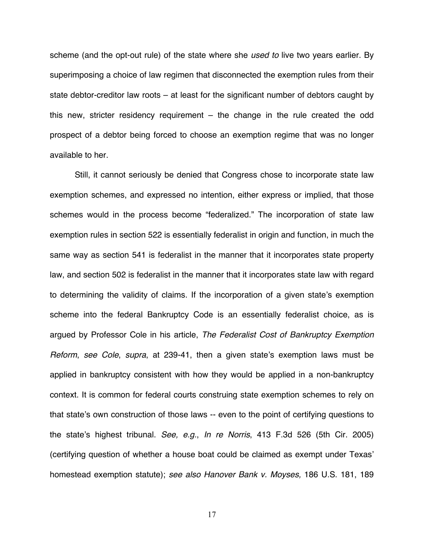scheme (and the opt-out rule) of the state where she *used to* live two years earlier. By superimposing a choice of law regimen that disconnected the exemption rules from their state debtor-creditor law roots – at least for the significant number of debtors caught by this new, stricter residency requirement – the change in the rule created the odd prospect of a debtor being forced to choose an exemption regime that was no longer available to her.

Still, it cannot seriously be denied that Congress chose to incorporate state law exemption schemes, and expressed no intention, either express or implied, that those schemes would in the process become "federalized." The incorporation of state law exemption rules in section 522 is essentially federalist in origin and function, in much the same way as section 541 is federalist in the manner that it incorporates state property law, and section 502 is federalist in the manner that it incorporates state law with regard to determining the validity of claims. If the incorporation of a given state's exemption scheme into the federal Bankruptcy Code is an essentially federalist choice, as is argued by Professor Cole in his article, *The Federalist Cost of Bankruptcy Exemption Reform*, *see Cole*, *supra*, at 239-41, then a given state's exemption laws must be applied in bankruptcy consistent with how they would be applied in a non-bankruptcy context. It is common for federal courts construing state exemption schemes to rely on that state's own construction of those laws -- even to the point of certifying questions to the state's highest tribunal. *See, e.g.*, *In re Norris*, 413 F.3d 526 (5th Cir. 2005) (certifying question of whether a house boat could be claimed as exempt under Texas' homestead exemption statute); *see also Hanover Bank v. Moyses,* 186 U.S. 181, 189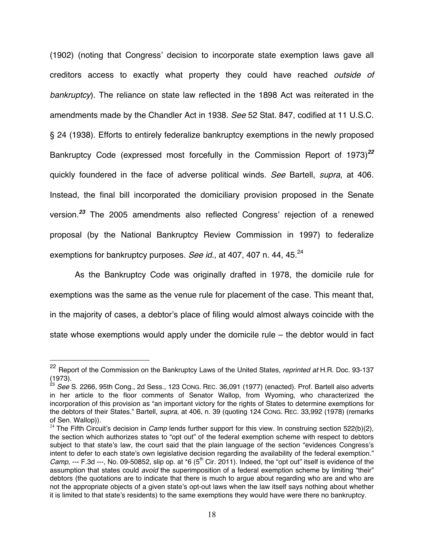(1902) (noting that Congress' decision to incorporate state exemption laws gave all creditors access to exactly what property they could have reached *outside of bankruptcy*). The reliance on state law reflected in the 1898 Act was reiterated in the amendments made by the Chandler Act in 1938. *See* 52 Stat. 847, codified at 11 U.S.C. § 24 (1938). Efforts to entirely federalize bankruptcy exemptions in the newly proposed Bankruptcy Code (expressed most forcefully in the Commission Report of 1973)*<sup>22</sup>* quickly foundered in the face of adverse political winds. *See* Bartell, *supra*, at 406. Instead, the final bill incorporated the domiciliary provision proposed in the Senate version.*<sup>23</sup>* The 2005 amendments also reflected Congress' rejection of a renewed proposal (by the National Bankruptcy Review Commission in 1997) to federalize exemptions for bankruptcy purposes. *See id.*, at 407, 407 n. 44, 45.<sup>24</sup>

As the Bankruptcy Code was originally drafted in 1978, the domicile rule for exemptions was the same as the venue rule for placement of the case. This meant that, in the majority of cases, a debtor's place of filing would almost always coincide with the state whose exemptions would apply under the domicile rule – the debtor would in fact

<sup>22</sup> Report of the Commission on the Bankruptcy Laws of the United States, *reprinted at* H.R. Doc. 93-137 (1973).

<sup>23</sup> *See* S. 2266, 95th Cong., 2d Sess., 123 CONG. REC. 36,091 (1977) (enacted). Prof. Bartell also adverts in her article to the floor comments of Senator Wallop, from Wyoming, who characterized the incorporation of this provision as "an important victory for the rights of States to determine exemptions for the debtors of their States." Bartell, *supra*, at 406, n. 39 (quoting 124 CONG. REC. 33,992 (1978) (remarks of Sen. Wallop)).

<sup>&</sup>lt;sup>24</sup> The Fifth Circuit's decision in *Camp* lends further support for this view. In construing section 522(b)(2), the section which authorizes states to "opt out" of the federal exemption scheme with respect to debtors subject to that state's law, the court said that the plain language of the section "evidences Congress's intent to defer to each state's own legislative decision regarding the availability of the federal exemption." *Camp*, --- F.3d ---, No. 09-50852, slip op. at  $*6$  (5<sup>th</sup> Cir. 2011). Indeed, the "opt out" itself is evidence of the assumption that states could *avoid* the superimposition of a federal exemption scheme by limiting "their" debtors (the quotations are to indicate that there is much to argue about regarding who are and who are not the appropriate objects of a given state's opt-out laws when the law itself says nothing about whether it is limited to that state's residents) to the same exemptions they would have were there no bankruptcy.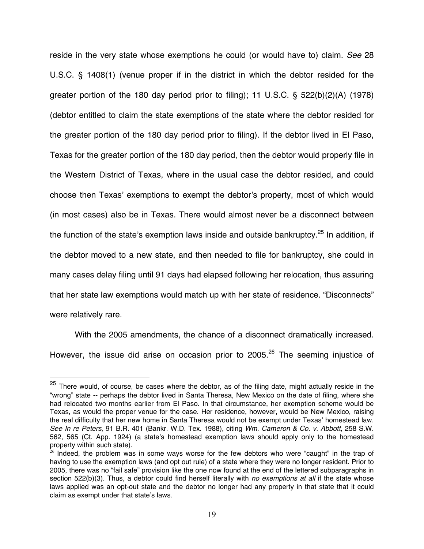reside in the very state whose exemptions he could (or would have to) claim. *See* 28 U.S.C. § 1408(1) (venue proper if in the district in which the debtor resided for the greater portion of the 180 day period prior to filing); 11 U.S.C. § 522(b)(2)(A) (1978) (debtor entitled to claim the state exemptions of the state where the debtor resided for the greater portion of the 180 day period prior to filing). If the debtor lived in El Paso, Texas for the greater portion of the 180 day period, then the debtor would properly file in the Western District of Texas, where in the usual case the debtor resided, and could choose then Texas' exemptions to exempt the debtor's property, most of which would (in most cases) also be in Texas. There would almost never be a disconnect between the function of the state's exemption laws inside and outside bankruptcy.<sup>25</sup> In addition, if the debtor moved to a new state, and then needed to file for bankruptcy, she could in many cases delay filing until 91 days had elapsed following her relocation, thus assuring that her state law exemptions would match up with her state of residence. "Disconnects" were relatively rare.

With the 2005 amendments, the chance of a disconnect dramatically increased. However, the issue did arise on occasion prior to 2005.<sup>26</sup> The seeming injustice of

 $25$  There would, of course, be cases where the debtor, as of the filing date, might actually reside in the "wrong" state -- perhaps the debtor lived in Santa Theresa, New Mexico on the date of filing, where she had relocated two months earlier from El Paso. In that circumstance, her exemption scheme would be Texas, as would the proper venue for the case. Her residence, however, would be New Mexico, raising the real difficulty that her new home in Santa Theresa would not be exempt under Texas' homestead law. *See In re Peters*, 91 B.R. 401 (Bankr. W.D. Tex. 1988), citing *Wm. Cameron & Co. v. Abbott*, 258 S.W. 562, 565 (Ct. App. 1924) (a state's homestead exemption laws should apply only to the homestead property within such state).

 $26$  Indeed, the problem was in some ways worse for the few debtors who were "caught" in the trap of having to use the exemption laws (and opt out rule) of a state where they were no longer resident. Prior to 2005, there was no "fail safe" provision like the one now found at the end of the lettered subparagraphs in section 522(b)(3). Thus, a debtor could find herself literally with *no exemptions at all* if the state whose laws applied was an opt-out state and the debtor no longer had any property in that state that it could claim as exempt under that state's laws.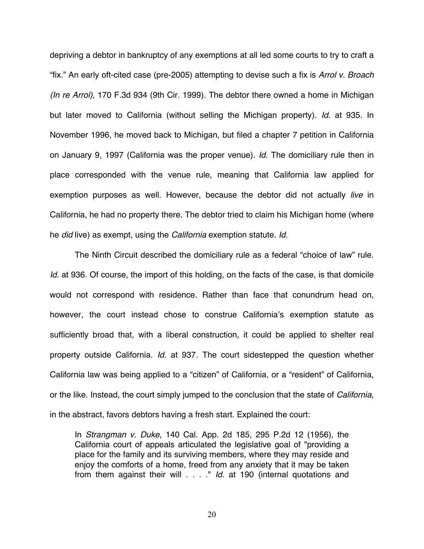depriving a debtor in bankruptcy of any exemptions at all led some courts to try to craft a "fix." An early oft-cited case (pre-2005) attempting to devise such a fix is *Arrol v. Broach (In re Arrol)*, 170 F.3d 934 (9th Cir. 1999). The debtor there owned a home in Michigan but later moved to California (without selling the Michigan property). *Id*. at 935. In November 1996, he moved back to Michigan, but filed a chapter 7 petition in California on January 9, 1997 (California was the proper venue). *Id*. The domiciliary rule then in place corresponded with the venue rule, meaning that California law applied for exemption purposes as well. However, because the debtor did not actually *live* in California, he had no property there. The debtor tried to claim his Michigan home (where he *did* live) as exempt, using the *California* exemption statute. *Id*.

The Ninth Circuit described the domiciliary rule as a federal "choice of law" rule. *Id*. at 936. Of course, the import of this holding, on the facts of the case, is that domicile would not correspond with residence. Rather than face that conundrum head on, however, the court instead chose to construe California's exemption statute as sufficiently broad that, with a liberal construction, it could be applied to shelter real property outside California. *Id*. at 937. The court sidestepped the question whether California law was being applied to a "citizen" of California, or a "resident" of California, or the like. Instead, the court simply jumped to the conclusion that the state of *California,* in the abstract, favors debtors having a fresh start. Explained the court:

In *Strangman v. Duke*, 140 Cal. App. 2d 185, 295 P.2d 12 (1956), the California court of appeals articulated the legislative goal of "providing a place for the family and its surviving members, where they may reside and enjoy the comforts of a home, freed from any anxiety that it may be taken from them against their will . . . ." *Id*. at 190 (internal quotations and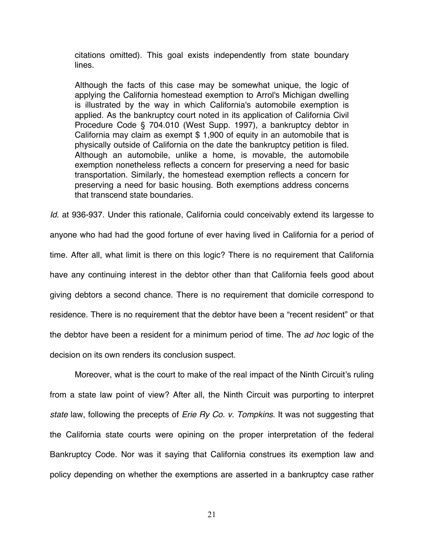citations omitted). This goal exists independently from state boundary lines.

Although the facts of this case may be somewhat unique, the logic of applying the California homestead exemption to Arrol's Michigan dwelling is illustrated by the way in which California's automobile exemption is applied. As the bankruptcy court noted in its application of California Civil Procedure Code § 704.010 (West Supp. 1997), a bankruptcy debtor in California may claim as exempt \$ 1,900 of equity in an automobile that is physically outside of California on the date the bankruptcy petition is filed. Although an automobile, unlike a home, is movable, the automobile exemption nonetheless reflects a concern for preserving a need for basic transportation. Similarly, the homestead exemption reflects a concern for preserving a need for basic housing. Both exemptions address concerns that transcend state boundaries.

*Id*. at 936-937. Under this rationale, California could conceivably extend its largesse to anyone who had had the good fortune of ever having lived in California for a period of time. After all, what limit is there on this logic? There is no requirement that California have any continuing interest in the debtor other than that California feels good about giving debtors a second chance. There is no requirement that domicile correspond to residence. There is no requirement that the debtor have been a "recent resident" or that the debtor have been a resident for a minimum period of time. The *ad hoc* logic of the decision on its own renders its conclusion suspect.

Moreover, what is the court to make of the real impact of the Ninth Circuit's ruling from a state law point of view? After all, the Ninth Circuit was purporting to interpret *state* law, following the precepts of *Erie Ry Co. v. Tompkins*. It was not suggesting that the California state courts were opining on the proper interpretation of the federal Bankruptcy Code. Nor was it saying that California construes its exemption law and policy depending on whether the exemptions are asserted in a bankruptcy case rather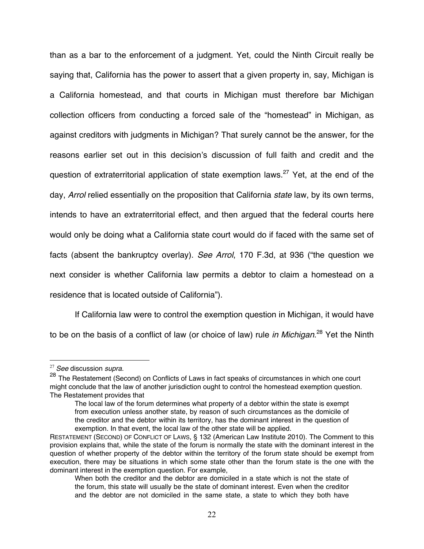than as a bar to the enforcement of a judgment. Yet, could the Ninth Circuit really be saying that, California has the power to assert that a given property in, say, Michigan is a California homestead, and that courts in Michigan must therefore bar Michigan collection officers from conducting a forced sale of the "homestead" in Michigan, as against creditors with judgments in Michigan? That surely cannot be the answer, for the reasons earlier set out in this decision's discussion of full faith and credit and the question of extraterritorial application of state exemption laws.<sup>27</sup> Yet, at the end of the day, *Arrol* relied essentially on the proposition that California *state* law, by its own terms, intends to have an extraterritorial effect, and then argued that the federal courts here would only be doing what a California state court would do if faced with the same set of facts (absent the bankruptcy overlay). *See Arrol*, 170 F.3d, at 936 ("the question we next consider is whether California law permits a debtor to claim a homestead on a residence that is located outside of California").

If California law were to control the exemption question in Michigan, it would have to be on the basis of a conflict of law (or choice of law) rule *in Michigan*. 28 Yet the Ninth

<sup>&</sup>lt;sup>27</sup> *See* discussion *supra*.<br><sup>28</sup> The Restatement (Second) on Conflicts of Laws in fact speaks of circumstances in which one court might conclude that the law of another jurisdiction ought to control the homestead exemption question. The Restatement provides that

The local law of the forum determines what property of a debtor within the state is exempt from execution unless another state, by reason of such circumstances as the domicile of the creditor and the debtor within its territory, has the dominant interest in the question of exemption. In that event, the local law of the other state will be applied.

RESTATEMENT (SECOND) OF CONFLICT OF LAWS, § 132 (American Law Institute 2010). The Comment to this provision explains that, while the state of the forum is normally the state with the dominant interest in the question of whether property of the debtor within the territory of the forum state should be exempt from execution, there may be situations in which some state other than the forum state is the one with the dominant interest in the exemption question. For example,

When both the creditor and the debtor are domiciled in a state which is not the state of the forum, this state will usually be the state of dominant interest. Even when the creditor and the debtor are not domiciled in the same state, a state to which they both have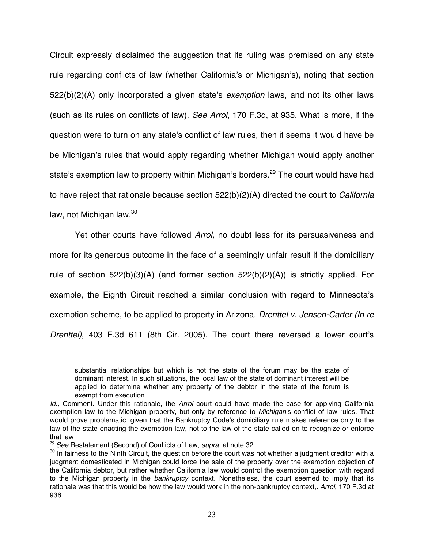Circuit expressly disclaimed the suggestion that its ruling was premised on any state rule regarding conflicts of law (whether California's or Michigan's), noting that section 522(b)(2)(A) only incorporated a given state's *exemption* laws, and not its other laws (such as its rules on conflicts of law). *See Arrol*, 170 F.3d, at 935. What is more, if the question were to turn on any state's conflict of law rules, then it seems it would have be be Michigan's rules that would apply regarding whether Michigan would apply another state's exemption law to property within Michigan's borders.<sup>29</sup> The court would have had to have reject that rationale because section 522(b)(2)(A) directed the court to *California*  law, not Michigan law.<sup>30</sup>

Yet other courts have followed *Arrol*, no doubt less for its persuasiveness and more for its generous outcome in the face of a seemingly unfair result if the domiciliary rule of section  $522(b)(3)(A)$  (and former section  $522(b)(2)(A)$ ) is strictly applied. For example, the Eighth Circuit reached a similar conclusion with regard to Minnesota's exemption scheme, to be applied to property in Arizona. *Drenttel v. Jensen-Carter (In re Drenttel)*, 403 F.3d 611 (8th Cir. 2005). The court there reversed a lower court's

substantial relationships but which is not the state of the forum may be the state of dominant interest. In such situations, the local law of the state of dominant interest will be applied to determine whether any property of the debtor in the state of the forum is exempt from execution.

*Id.,* Comment. Under this rationale, the *Arrol* court could have made the case for applying California exemption law to the Michigan property, but only by reference to *Michigan*'s conflict of law rules. That would prove problematic, given that the Bankruptcy Code's domiciliary rule makes reference only to the law of the state enacting the exemption law, not to the law of the state called on to recognize or enforce that law

<sup>29</sup> *See* Restatement (Second) of Conflicts of Law, *supra*, at note 32.

 $30$  In fairness to the Ninth Circuit, the question before the court was not whether a judgment creditor with a judgment domesticated in Michigan could force the sale of the property over the exemption objection of the California debtor, but rather whether California law would control the exemption question with regard to the Michigan property in the *bankruptcy* context. Nonetheless, the court seemed to imply that its rationale was that this would be how the law would work in the non-bankruptcy context,. *Arrol*, 170 F.3d at 936.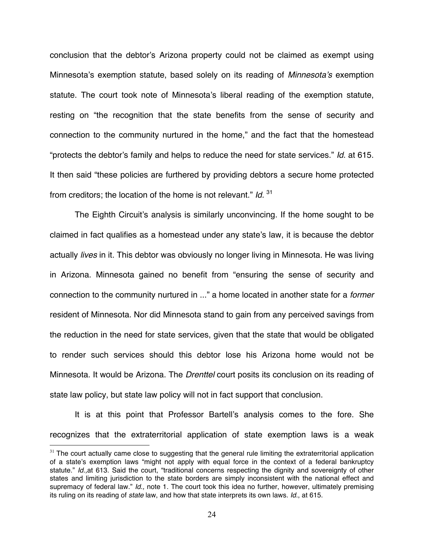conclusion that the debtor's Arizona property could not be claimed as exempt using Minnesota's exemption statute, based solely on its reading of *Minnesota*'*s* exemption statute. The court took note of Minnesota's liberal reading of the exemption statute, resting on "the recognition that the state benefits from the sense of security and connection to the community nurtured in the home," and the fact that the homestead "protects the debtor's family and helps to reduce the need for state services." *Id*. at 615. It then said "these policies are furthered by providing debtors a secure home protected from creditors; the location of the home is not relevant." *Id.* <sup>31</sup>

The Eighth Circuit's analysis is similarly unconvincing. If the home sought to be claimed in fact qualifies as a homestead under any state's law, it is because the debtor actually *lives* in it. This debtor was obviously no longer living in Minnesota. He was living in Arizona. Minnesota gained no benefit from "ensuring the sense of security and connection to the community nurtured in ..." a home located in another state for a *former*  resident of Minnesota. Nor did Minnesota stand to gain from any perceived savings from the reduction in the need for state services, given that the state that would be obligated to render such services should this debtor lose his Arizona home would not be Minnesota. It would be Arizona. The *Drenttel* court posits its conclusion on its reading of state law policy, but state law policy will not in fact support that conclusion.

It is at this point that Professor Bartell's analysis comes to the fore. She recognizes that the extraterritorial application of state exemption laws is a weak

 $31$  The court actually came close to suggesting that the general rule limiting the extraterritorial application of a state's exemption laws "might not apply with equal force in the context of a federal bankruptcy statute." *Id.,*at 613. Said the court, "traditional concerns respecting the dignity and sovereignty of other states and limiting jurisdiction to the state borders are simply inconsistent with the national effect and supremacy of federal law." *Id.,* note 1. The court took this idea no further, however, ultimately premising its ruling on its reading of *state* law, and how that state interprets its own laws. *Id.*, at 615.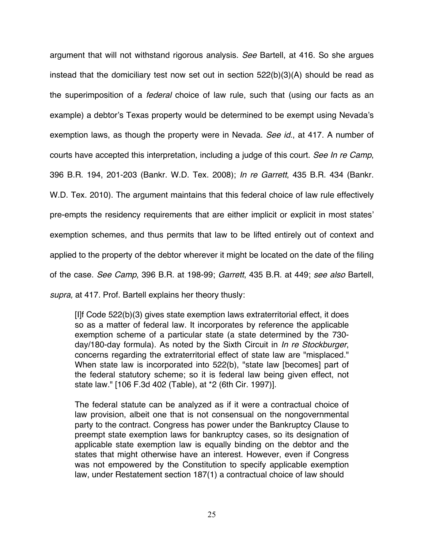argument that will not withstand rigorous analysis. *See* Bartell, at 416. So she argues instead that the domiciliary test now set out in section 522(b)(3)(A) should be read as the superimposition of a *federal* choice of law rule, such that (using our facts as an example) a debtor's Texas property would be determined to be exempt using Nevada's exemption laws, as though the property were in Nevada. *See id.*, at 417. A number of courts have accepted this interpretation, including a judge of this court. *See In re Camp*, 396 B.R. 194, 201-203 (Bankr. W.D. Tex. 2008); *In re Garrett*, 435 B.R. 434 (Bankr. W.D. Tex. 2010). The argument maintains that this federal choice of law rule effectively pre-empts the residency requirements that are either implicit or explicit in most states' exemption schemes, and thus permits that law to be lifted entirely out of context and applied to the property of the debtor wherever it might be located on the date of the filing of the case. *See Camp*, 396 B.R. at 198-99; *Garrett*, 435 B.R. at 449; *see also* Bartell, *supra,* at 417. Prof. Bartell explains her theory thusly:

[I]f Code 522(b)(3) gives state exemption laws extraterritorial effect, it does so as a matter of federal law. It incorporates by reference the applicable exemption scheme of a particular state (a state determined by the 730 day/180-day formula). As noted by the Sixth Circuit in *In re Stockburger*, concerns regarding the extraterritorial effect of state law are "misplaced." When state law is incorporated into 522(b), "state law [becomes] part of the federal statutory scheme; so it is federal law being given effect, not state law." [106 F.3d 402 (Table), at \*2 (6th Cir. 1997)].

The federal statute can be analyzed as if it were a contractual choice of law provision, albeit one that is not consensual on the nongovernmental party to the contract. Congress has power under the Bankruptcy Clause to preempt state exemption laws for bankruptcy cases, so its designation of applicable state exemption law is equally binding on the debtor and the states that might otherwise have an interest. However, even if Congress was not empowered by the Constitution to specify applicable exemption law, under Restatement section 187(1) a contractual choice of law should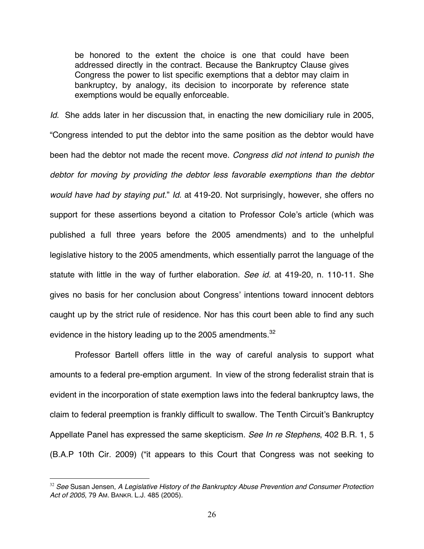be honored to the extent the choice is one that could have been addressed directly in the contract. Because the Bankruptcy Clause gives Congress the power to list specific exemptions that a debtor may claim in bankruptcy, by analogy, its decision to incorporate by reference state exemptions would be equally enforceable.

*Id*. She adds later in her discussion that, in enacting the new domiciliary rule in 2005, "Congress intended to put the debtor into the same position as the debtor would have been had the debtor not made the recent move. *Congress did not intend to punish the debtor for moving by providing the debtor less favorable exemptions than the debtor would have had by staying put.*" *Id.* at 419-20. Not surprisingly, however, she offers no support for these assertions beyond a citation to Professor Cole's article (which was published a full three years before the 2005 amendments) and to the unhelpful legislative history to the 2005 amendments, which essentially parrot the language of the statute with little in the way of further elaboration. *See id.* at 419-20, n. 110-11. She gives no basis for her conclusion about Congress' intentions toward innocent debtors caught up by the strict rule of residence. Nor has this court been able to find any such evidence in the history leading up to the 2005 amendments. $32$ 

Professor Bartell offers little in the way of careful analysis to support what amounts to a federal pre-emption argument. In view of the strong federalist strain that is evident in the incorporation of state exemption laws into the federal bankruptcy laws, the claim to federal preemption is frankly difficult to swallow. The Tenth Circuit's Bankruptcy Appellate Panel has expressed the same skepticism. *See In re Stephens*, 402 B.R. 1, 5 (B.A.P 10th Cir. 2009) ("it appears to this Court that Congress was not seeking to

 <sup>32</sup> *See* Susan Jensen, *A Legislative History of the Bankruptcy Abuse Prevention and Consumer Protection Act of 2005*, 79 AM. BANKR. L.J. 485 (2005).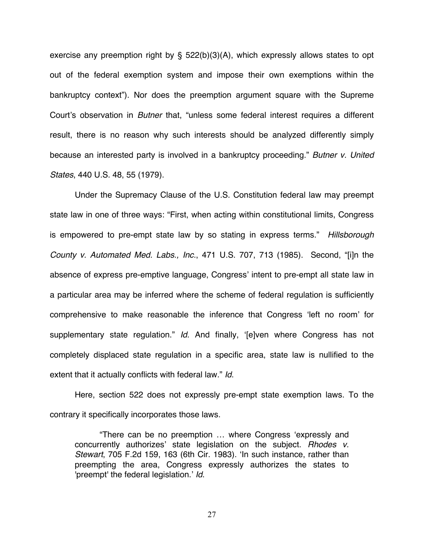exercise any preemption right by § 522(b)(3)(A), which expressly allows states to opt out of the federal exemption system and impose their own exemptions within the bankruptcy context"). Nor does the preemption argument square with the Supreme Court's observation in *Butner* that, "unless some federal interest requires a different result, there is no reason why such interests should be analyzed differently simply because an interested party is involved in a bankruptcy proceeding." *Butner v. United States*, 440 U.S. 48, 55 (1979).

Under the Supremacy Clause of the U.S. Constitution federal law may preempt state law in one of three ways: "First, when acting within constitutional limits, Congress is empowered to pre-empt state law by so stating in express terms." *Hillsborough County v. Automated Med. Labs., Inc.*, 471 U.S. 707, 713 (1985). Second, "[i]n the absence of express pre-emptive language, Congress' intent to pre-empt all state law in a particular area may be inferred where the scheme of federal regulation is sufficiently comprehensive to make reasonable the inference that Congress ʻleft no room' for supplementary state regulation." *Id*. And finally, ʻ[e]ven where Congress has not completely displaced state regulation in a specific area, state law is nullified to the extent that it actually conflicts with federal law." *Id*.

Here, section 522 does not expressly pre-empt state exemption laws. To the contrary it specifically incorporates those laws.

"There can be no preemption … where Congress ʻexpressly and concurrently authorizes' state legislation on the subject. *Rhodes v. Stewart*, 705 F.2d 159, 163 (6th Cir. 1983). ʻIn such instance, rather than preempting the area, Congress expressly authorizes the states to 'preempt' the federal legislation.' *Id*.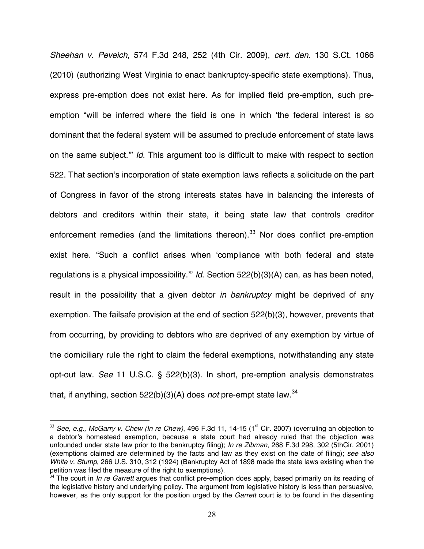*Sheehan v. Peveich*, 574 F.3d 248, 252 (4th Cir. 2009), *cert. den.* 130 S.Ct. 1066 (2010) (authorizing West Virginia to enact bankruptcy-specific state exemptions). Thus, express pre-emption does not exist here. As for implied field pre-emption, such preemption "will be inferred where the field is one in which ʻthe federal interest is so dominant that the federal system will be assumed to preclude enforcement of state laws on the same subject.'" *Id*. This argument too is difficult to make with respect to section 522. That section's incorporation of state exemption laws reflects a solicitude on the part of Congress in favor of the strong interests states have in balancing the interests of debtors and creditors within their state, it being state law that controls creditor enforcement remedies (and the limitations thereon).<sup>33</sup> Nor does conflict pre-emption exist here. "Such a conflict arises when ʻcompliance with both federal and state regulations is a physical impossibility.'" *Id*. Section 522(b)(3)(A) can, as has been noted, result in the possibility that a given debtor *in bankruptcy* might be deprived of any exemption. The failsafe provision at the end of section 522(b)(3), however, prevents that from occurring, by providing to debtors who are deprived of any exemption by virtue of the domiciliary rule the right to claim the federal exemptions, notwithstanding any state opt-out law. *See* 11 U.S.C. § 522(b)(3). In short, pre-emption analysis demonstrates that, if anything, section 522(b)(3)(A) does *not* pre-empt state law.34

<sup>&</sup>lt;sup>33</sup> See, e.g., McGarry v. Chew (In re Chew), 496 F.3d 11, 14-15 (1<sup>st</sup> Cir. 2007) (overruling an objection to a debtor's homestead exemption, because a state court had already ruled that the objection was unfounded under state law prior to the bankruptcy filing); *In re Zibman*, 268 F.3d 298, 302 (5thCir. 2001) (exemptions claimed are determined by the facts and law as they exist on the date of filing); *see also White v. Stump*, 266 U.S. 310, 312 (1924) (Bankruptcy Act of 1898 made the state laws existing when the petition was filed the measure of the right to exemptions).

<sup>34</sup> The court in *In re Garrett* argues that conflict pre-emption does apply, based primarily on its reading of the legislative history and underlying policy. The argument from legislative history is less than persuasive, however, as the only support for the position urged by the *Garrett* court is to be found in the dissenting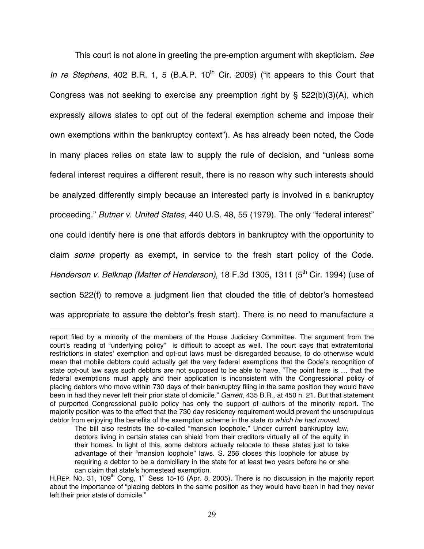This court is not alone in greeting the pre-emption argument with skepticism. *See In re Stephens*, 402 B.R. 1, 5 (B.A.P. 10<sup>th</sup> Cir. 2009) ("it appears to this Court that Congress was not seeking to exercise any preemption right by  $\S$  522(b)(3)(A), which expressly allows states to opt out of the federal exemption scheme and impose their own exemptions within the bankruptcy context"). As has already been noted, the Code in many places relies on state law to supply the rule of decision, and "unless some federal interest requires a different result, there is no reason why such interests should be analyzed differently simply because an interested party is involved in a bankruptcy proceeding." *Butner v. United States*, 440 U.S. 48, 55 (1979). The only "federal interest" one could identify here is one that affords debtors in bankruptcy with the opportunity to claim *some* property as exempt, in service to the fresh start policy of the Code. *Henderson v. Belknap (Matter of Henderson)*, 18 F.3d 1305, 1311 (5<sup>th</sup> Cir. 1994) (use of section 522(f) to remove a judgment lien that clouded the title of debtor's homestead was appropriate to assure the debtor's fresh start). There is no need to manufacture a

 $\overline{a}$ report filed by a minority of the members of the House Judiciary Committee. The argument from the court's reading of "underlying policy" is difficult to accept as well. The court says that extraterritorial restrictions in states' exemption and opt-out laws must be disregarded because, to do otherwise would mean that mobile debtors could actually get the very federal exemptions that the Code's recognition of state opt-out law says such debtors are not supposed to be able to have. "The point here is … that the federal exemptions must apply and their application is inconsistent with the Congressional policy of placing debtors who move within 730 days of their bankruptcy filing in the same position they would have been in had they never left their prior state of domicile." *Garrett*, 435 B.R., at 450 n. 21. But that statement of purported Congressional public policy has only the support of authors of the minority report. The majority position was to the effect that the 730 day residency requirement would prevent the unscrupulous debtor from enjoying the benefits of the exemption scheme in the state *to which he had moved*.

The bill also restricts the so-called "mansion loophole." Under current bankruptcy law, debtors living in certain states can shield from their creditors virtually all of the equity in their homes. In light of this, some debtors actually relocate to these states just to take advantage of their "mansion loophole" laws. S. 256 closes this loophole for abuse by requiring a debtor to be a domiciliary in the state for at least two years before he or she can claim that state's homestead exemption.

H.REP. No. 31, 109<sup>th</sup> Cong, 1<sup>st</sup> Sess 15-16 (Apr. 8, 2005). There is no discussion in the majority report about the importance of "placing debtors in the same position as they would have been in had they never left their prior state of domicile."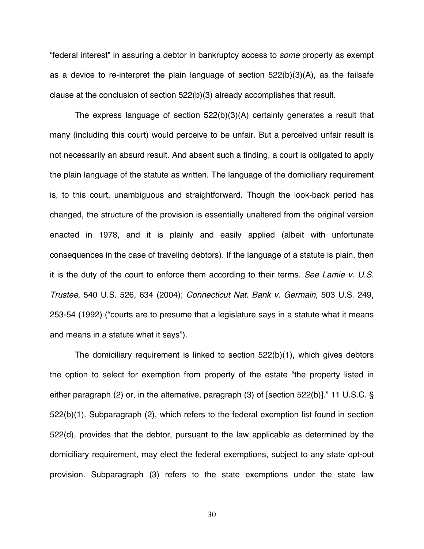"federal interest" in assuring a debtor in bankruptcy access to *some* property as exempt as a device to re-interpret the plain language of section 522(b)(3)(A), as the failsafe clause at the conclusion of section 522(b)(3) already accomplishes that result.

The express language of section 522(b)(3)(A) certainly generates a result that many (including this court) would perceive to be unfair. But a perceived unfair result is not necessarily an absurd result. And absent such a finding, a court is obligated to apply the plain language of the statute as written. The language of the domiciliary requirement is, to this court, unambiguous and straightforward. Though the look-back period has changed, the structure of the provision is essentially unaltered from the original version enacted in 1978, and it is plainly and easily applied (albeit with unfortunate consequences in the case of traveling debtors). If the language of a statute is plain, then it is the duty of the court to enforce them according to their terms. *See Lamie v. U.S. Trustee*, 540 U.S. 526, 634 (2004); *Connecticut Nat. Bank v. Germain*, 503 U.S. 249, 253-54 (1992) ("courts are to presume that a legislature says in a statute what it means and means in a statute what it says").

The domiciliary requirement is linked to section 522(b)(1), which gives debtors the option to select for exemption from property of the estate "the property listed in either paragraph (2) or, in the alternative, paragraph (3) of [section 522(b)]." 11 U.S.C. § 522(b)(1). Subparagraph (2), which refers to the federal exemption list found in section 522(d), provides that the debtor, pursuant to the law applicable as determined by the domiciliary requirement, may elect the federal exemptions, subject to any state opt-out provision. Subparagraph (3) refers to the state exemptions under the state law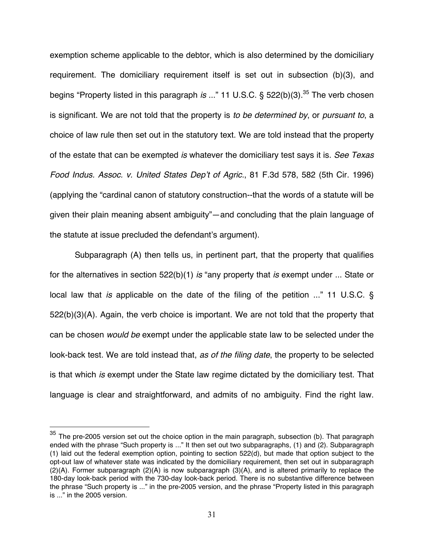exemption scheme applicable to the debtor, which is also determined by the domiciliary requirement. The domiciliary requirement itself is set out in subsection (b)(3), and begins "Property listed in this paragraph *is* ..." 11 U.S.C. § 522(b)(3).<sup>35</sup> The verb chosen is significant. We are not told that the property is *to be determined by*, or *pursuant to*, a choice of law rule then set out in the statutory text. We are told instead that the property of the estate that can be exempted *is* whatever the domiciliary test says it is. *See Texas Food Indus. Assoc. v. United States Dep*'*t of Agric.*, 81 F.3d 578, 582 (5th Cir. 1996) (applying the "cardinal canon of statutory construction--that the words of a statute will be given their plain meaning absent ambiguity"—and concluding that the plain language of the statute at issue precluded the defendant's argument).

Subparagraph (A) then tells us, in pertinent part, that the property that qualifies for the alternatives in section 522(b)(1) *is* "any property that *is* exempt under ... State or local law that *is* applicable on the date of the filing of the petition ..." 11 U.S.C. § 522(b)(3)(A). Again, the verb choice is important. We are not told that the property that can be chosen *would be* exempt under the applicable state law to be selected under the look-back test. We are told instead that, *as of the filing date*, the property to be selected is that which *is* exempt under the State law regime dictated by the domiciliary test. That language is clear and straightforward, and admits of no ambiguity. Find the right law.

 $35$  The pre-2005 version set out the choice option in the main paragraph, subsection (b). That paragraph ended with the phrase "Such property is ..." It then set out two subparagraphs, (1) and (2). Subparagraph (1) laid out the federal exemption option, pointing to section 522(d), but made that option subject to the opt-out law of whatever state was indicated by the domiciliary requirement, then set out in subparagraph (2)(A). Former subparagraph (2)(A) is now subparagraph (3)(A), and is altered primarily to replace the 180-day look-back period with the 730-day look-back period. There is no substantive difference between the phrase "Such property is ..." in the pre-2005 version, and the phrase "Property listed in this paragraph is ..." in the 2005 version.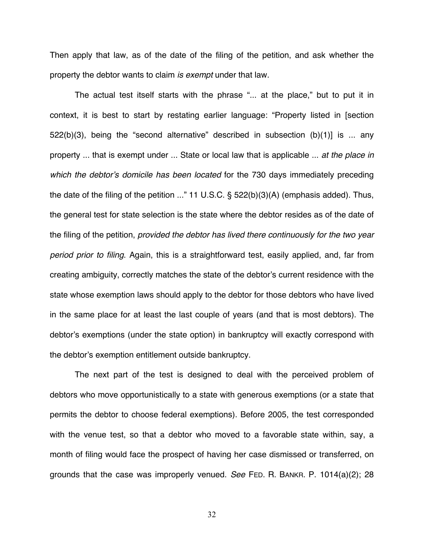Then apply that law, as of the date of the filing of the petition, and ask whether the property the debtor wants to claim *is exempt* under that law.

The actual test itself starts with the phrase "... at the place," but to put it in context, it is best to start by restating earlier language: "Property listed in [section 522(b)(3), being the "second alternative" described in subsection (b)(1)] is ... any property ... that is exempt under ... State or local law that is applicable ... *at the place in which the debtor*'*s domicile has been located* for the 730 days immediately preceding the date of the filing of the petition ..." 11 U.S.C. § 522(b)(3)(A) (emphasis added). Thus, the general test for state selection is the state where the debtor resides as of the date of the filing of the petition, *provided the debtor has lived there continuously for the two year period prior to filing*. Again, this is a straightforward test, easily applied, and, far from creating ambiguity, correctly matches the state of the debtor's current residence with the state whose exemption laws should apply to the debtor for those debtors who have lived in the same place for at least the last couple of years (and that is most debtors). The debtor's exemptions (under the state option) in bankruptcy will exactly correspond with the debtor's exemption entitlement outside bankruptcy.

The next part of the test is designed to deal with the perceived problem of debtors who move opportunistically to a state with generous exemptions (or a state that permits the debtor to choose federal exemptions). Before 2005, the test corresponded with the venue test, so that a debtor who moved to a favorable state within, say, a month of filing would face the prospect of having her case dismissed or transferred, on grounds that the case was improperly venued. *See* FED. R. BANKR. P. 1014(a)(2); 28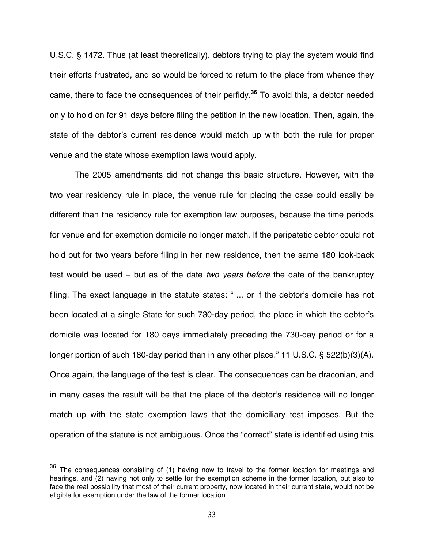U.S.C. § 1472. Thus (at least theoretically), debtors trying to play the system would find their efforts frustrated, and so would be forced to return to the place from whence they came, there to face the consequences of their perfidy.**<sup>36</sup>** To avoid this, a debtor needed only to hold on for 91 days before filing the petition in the new location. Then, again, the state of the debtor's current residence would match up with both the rule for proper venue and the state whose exemption laws would apply.

The 2005 amendments did not change this basic structure. However, with the two year residency rule in place, the venue rule for placing the case could easily be different than the residency rule for exemption law purposes, because the time periods for venue and for exemption domicile no longer match. If the peripatetic debtor could not hold out for two years before filing in her new residence, then the same 180 look-back test would be used – but as of the date *two years before* the date of the bankruptcy filing. The exact language in the statute states: " ... or if the debtor's domicile has not been located at a single State for such 730-day period, the place in which the debtor's domicile was located for 180 days immediately preceding the 730-day period or for a longer portion of such 180-day period than in any other place." 11 U.S.C. § 522(b)(3)(A). Once again, the language of the test is clear. The consequences can be draconian, and in many cases the result will be that the place of the debtor's residence will no longer match up with the state exemption laws that the domiciliary test imposes. But the operation of the statute is not ambiguous. Once the "correct" state is identified using this

 $36$  The consequences consisting of (1) having now to travel to the former location for meetings and hearings, and (2) having not only to settle for the exemption scheme in the former location, but also to face the real possibility that most of their current property, now located in their current state, would not be eligible for exemption under the law of the former location.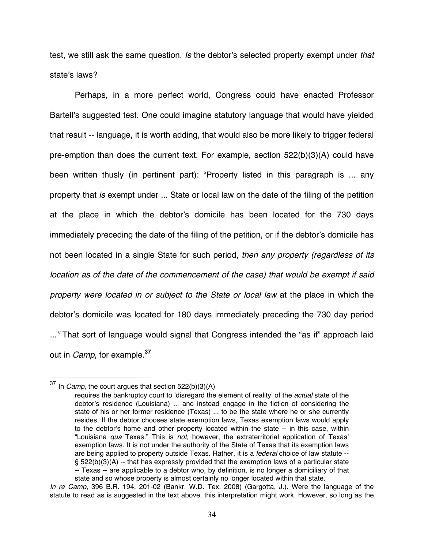test, we still ask the same question. *Is* the debtor's selected property exempt under *that*  state's laws?

Perhaps, in a more perfect world, Congress could have enacted Professor Bartell's suggested test. One could imagine statutory language that would have yielded that result -- language, it is worth adding, that would also be more likely to trigger federal pre-emption than does the current text. For example, section 522(b)(3)(A) could have been written thusly (in pertinent part): "Property listed in this paragraph is ... any property that *is* exempt under ... State or local law on the date of the filing of the petition at the place in which the debtor's domicile has been located for the 730 days immediately preceding the date of the filing of the petition, or if the debtor's domicile has not been located in a single State for such period, *then any property (regardless of its location as of the date of the commencement of the case) that would be exempt if said property were located in or subject to the State or local law* at the place in which the debtor's domicile was located for 180 days immediately preceding the 730 day period *..."* That sort of language would signal that Congress intended the "as if" approach laid out in *Camp*, for example.**<sup>37</sup>**

<sup>37</sup> In *Camp*, the court argues that section 522(b)(3)(A)

requires the bankruptcy court to ʻdisregard the element of reality' of the *actual* state of the debtor's residence (Louisiana) ... and instead engage in the fiction of considering the state of his or her former residence (Texas) ... to be the state where he or she currently resides. If the debtor chooses state exemption laws, Texas exemption laws would apply to the debtor's home and other property located within the state -- in this case, within "Louisiana *qua* Texas." This is *not,* however, the extraterritorial application of Texas' exemption laws. It is not under the authority of the State of Texas that its exemption laws are being applied to property outside Texas. Rather, it is a *federal* choice of law statute -- § 522(b)(3)(A) -- that has expressly provided that the exemption laws of a particular state -- Texas -- are applicable to a debtor who, by definition, is no longer a domiciliary of that state and so whose property is almost certainly no longer located within that state.

*In re Camp*, 396 B.R. 194, 201-02 (Bankr. W.D. Tex. 2008) (Gargotta, J.). Were the language of the statute to read as is suggested in the text above, this interpretation might work. However, so long as the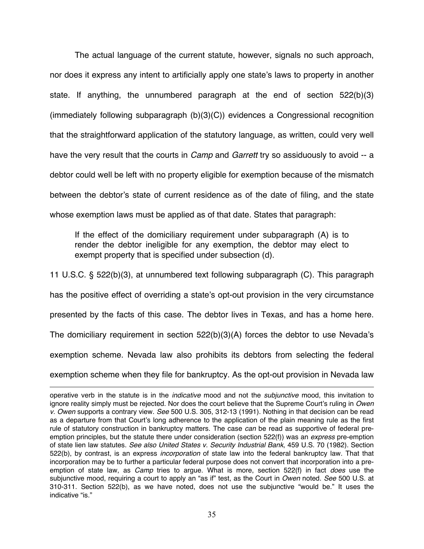The actual language of the current statute, however, signals no such approach, nor does it express any intent to artificially apply one state's laws to property in another state. If anything, the unnumbered paragraph at the end of section 522(b)(3) (immediately following subparagraph (b)(3)(C)) evidences a Congressional recognition that the straightforward application of the statutory language, as written, could very well have the very result that the courts in *Camp* and *Garrett* try so assiduously to avoid -- a debtor could well be left with no property eligible for exemption because of the mismatch between the debtor's state of current residence as of the date of filing, and the state whose exemption laws must be applied as of that date. States that paragraph:

If the effect of the domiciliary requirement under subparagraph (A) is to render the debtor ineligible for any exemption, the debtor may elect to exempt property that is specified under subsection (d).

11 U.S.C. § 522(b)(3), at unnumbered text following subparagraph (C). This paragraph has the positive effect of overriding a state's opt-out provision in the very circumstance presented by the facts of this case. The debtor lives in Texas, and has a home here. The domiciliary requirement in section 522(b)(3)(A) forces the debtor to use Nevada's exemption scheme. Nevada law also prohibits its debtors from selecting the federal exemption scheme when they file for bankruptcy. As the opt-out provision in Nevada law

operative verb in the statute is in the *indicative* mood and not the *subjunctive* mood, this invitation to ignore reality simply must be rejected. Nor does the court believe that the Supreme Court's ruling in *Owen v. Owen* supports a contrary view. *See* 500 U.S. 305, 312-13 (1991). Nothing in that decision can be read as a departure from that Court's long adherence to the application of the plain meaning rule as the first rule of statutory construction in bankruptcy matters. The case *can* be read as supportive of federal preemption principles, but the statute there under consideration (section 522(f)) was an *express* pre-emption of state lien law statutes. *See also United States v. Security Industrial Bank*, 459 U.S. 70 (1982). Section 522(b), by contrast, is an express *incorporation* of state law into the federal bankruptcy law. That that incorporation may be to further a particular federal purpose does not convert that incorporation into a preemption of state law, as *Camp* tries to argue. What is more, section 522(f) in fact *does* use the subjunctive mood, requiring a court to apply an "as if" test, as the Court in *Owen* noted. *See* 500 U.S. at 310-311. Section 522(b), as we have noted, does not use the subjunctive "would be." It uses the indicative "is."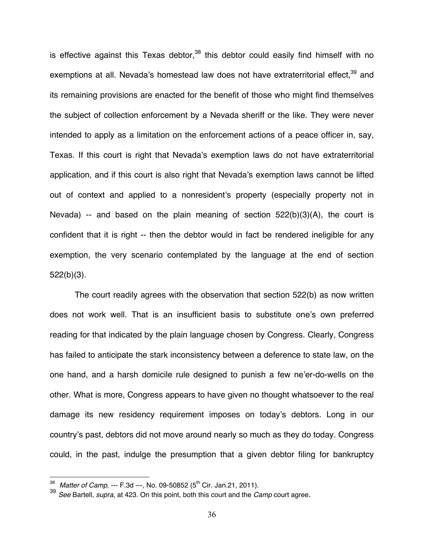is effective against this Texas debtor, $38$  this debtor could easily find himself with no exemptions at all. Nevada's homestead law does not have extraterritorial effect,<sup>39</sup> and its remaining provisions are enacted for the benefit of those who might find themselves the subject of collection enforcement by a Nevada sheriff or the like. They were never intended to apply as a limitation on the enforcement actions of a peace officer in, say, Texas. If this court is right that Nevada's exemption laws do not have extraterritorial application, and if this court is also right that Nevada's exemption laws cannot be lifted out of context and applied to a nonresident's property (especially property not in Nevada) -- and based on the plain meaning of section  $522(b)(3)(A)$ , the court is confident that it is right -- then the debtor would in fact be rendered ineligible for any exemption, the very scenario contemplated by the language at the end of section 522(b)(3).

The court readily agrees with the observation that section 522(b) as now written does not work well. That is an insufficient basis to substitute one's own preferred reading for that indicated by the plain language chosen by Congress. Clearly, Congress has failed to anticipate the stark inconsistency between a deference to state law, on the one hand, and a harsh domicile rule designed to punish a few ne'er-do-wells on the other. What is more, Congress appears to have given no thought whatsoever to the real damage its new residency requirement imposes on today's debtors. Long in our country's past, debtors did not move around nearly so much as they do today. Congress could, in the past, indulge the presumption that a given debtor filing for bankruptcy

<sup>&</sup>lt;sup>38</sup> Matter of Camp, --- F.3d ---, No. 09-50852 (5<sup>th</sup> Cir. Jan.21, 2011).

<sup>39</sup> *See* Bartell, *supra*, at 423. On this point, both this court and the *Camp* court agree.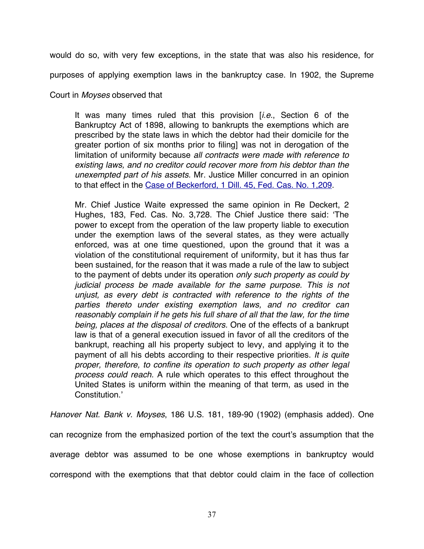would do so, with very few exceptions, in the state that was also his residence, for purposes of applying exemption laws in the bankruptcy case. In 1902, the Supreme

Court in *Moyses* observed that

It was many times ruled that this provision [*i.e.*, Section 6 of the Bankruptcy Act of 1898, allowing to bankrupts the exemptions which are prescribed by the state laws in which the debtor had their domicile for the greater portion of six months prior to filing] was not in derogation of the limitation of uniformity because *all contracts were made with reference to existing laws, and no creditor could recover more from his debtor than the unexempted part of his assets.* Mr. Justice Miller concurred in an opinion to that effect in the Case of Beckerford, 1 Dill. 45, Fed. Cas. No. 1,209.

Mr. Chief Justice Waite expressed the same opinion in Re Deckert, 2 Hughes, 183, Fed. Cas. No. 3,728. The Chief Justice there said: ʻThe power to except from the operation of the law property liable to execution under the exemption laws of the several states, as they were actually enforced, was at one time questioned, upon the ground that it was a violation of the constitutional requirement of uniformity, but it has thus far been sustained, for the reason that it was made a rule of the law to subject to the payment of debts under its operation *only such property as could by judicial process be made available for the same purpose. This is not unjust, as every debt is contracted with reference to the rights of the parties thereto under existing exemption laws, and no creditor can reasonably complain if he gets his full share of all that the law, for the time being, places at the disposal of creditors.* One of the effects of a bankrupt law is that of a general execution issued in favor of all the creditors of the bankrupt, reaching all his property subject to levy, and applying it to the payment of all his debts according to their respective priorities. *It is quite proper, therefore, to confine its operation to such property as other legal process could reach.* A rule which operates to this effect throughout the United States is uniform within the meaning of that term, as used in the Constitution.'

*Hanover Nat. Bank v. Moyses*, 186 U.S. 181, 189-90 (1902) (emphasis added). One can recognize from the emphasized portion of the text the court's assumption that the average debtor was assumed to be one whose exemptions in bankruptcy would correspond with the exemptions that that debtor could claim in the face of collection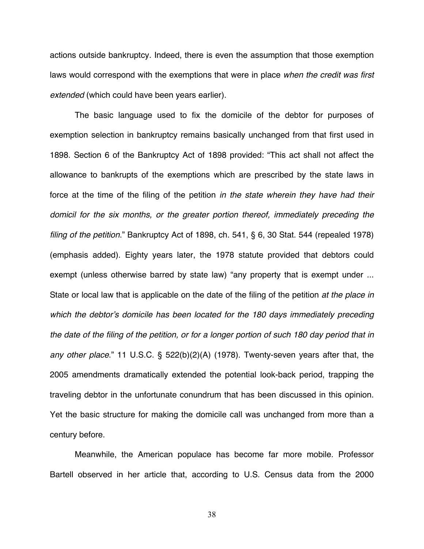actions outside bankruptcy. Indeed, there is even the assumption that those exemption laws would correspond with the exemptions that were in place *when the credit was first extended* (which could have been years earlier).

The basic language used to fix the domicile of the debtor for purposes of exemption selection in bankruptcy remains basically unchanged from that first used in 1898. Section 6 of the Bankruptcy Act of 1898 provided: "This act shall not affect the allowance to bankrupts of the exemptions which are prescribed by the state laws in force at the time of the filing of the petition *in the state wherein they have had their domicil for the six months, or the greater portion thereof, immediately preceding the filing of the petition*." Bankruptcy Act of 1898, ch. 541, § 6, 30 Stat. 544 (repealed 1978) (emphasis added). Eighty years later, the 1978 statute provided that debtors could exempt (unless otherwise barred by state law) "any property that is exempt under ... State or local law that is applicable on the date of the filing of the petition *at the place in which the debtor*'*s domicile has been located for the 180 days immediately preceding the date of the filing of the petition, or for a longer portion of such 180 day period that in any other place*." 11 U.S.C. § 522(b)(2)(A) (1978). Twenty-seven years after that, the 2005 amendments dramatically extended the potential look-back period, trapping the traveling debtor in the unfortunate conundrum that has been discussed in this opinion. Yet the basic structure for making the domicile call was unchanged from more than a century before.

Meanwhile, the American populace has become far more mobile. Professor Bartell observed in her article that, according to U.S. Census data from the 2000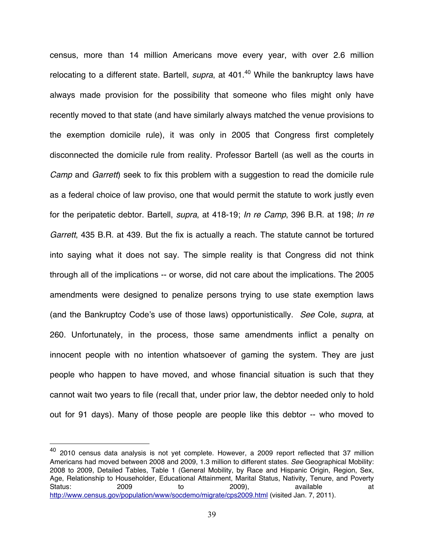census, more than 14 million Americans move every year, with over 2.6 million relocating to a different state. Bartell, *supra*, at 401.<sup>40</sup> While the bankruptcy laws have always made provision for the possibility that someone who files might only have recently moved to that state (and have similarly always matched the venue provisions to the exemption domicile rule), it was only in 2005 that Congress first completely disconnected the domicile rule from reality. Professor Bartell (as well as the courts in *Camp* and *Garrett*) seek to fix this problem with a suggestion to read the domicile rule as a federal choice of law proviso, one that would permit the statute to work justly even for the peripatetic debtor. Bartell, *supra*, at 418-19; *In re Camp*, 396 B.R. at 198; *In re Garrett*, 435 B.R. at 439. But the fix is actually a reach. The statute cannot be tortured into saying what it does not say. The simple reality is that Congress did not think through all of the implications -- or worse, did not care about the implications. The 2005 amendments were designed to penalize persons trying to use state exemption laws (and the Bankruptcy Code's use of those laws) opportunistically. *See* Cole, *supra*, at 260. Unfortunately, in the process, those same amendments inflict a penalty on innocent people with no intention whatsoever of gaming the system. They are just people who happen to have moved, and whose financial situation is such that they cannot wait two years to file (recall that, under prior law, the debtor needed only to hold out for 91 days). Many of those people are people like this debtor -- who moved to

 $^{40}$  2010 census data analysis is not yet complete. However, a 2009 report reflected that 37 million Americans had moved between 2008 and 2009, 1.3 million to different states. *See* Geographical Mobility: 2008 to 2009, Detailed Tables, Table 1 (General Mobility, by Race and Hispanic Origin, Region, Sex, Age, Relationship to Householder, Educational Attainment, Marital Status, Nativity, Tenure, and Poverty Status: 2009 to 2009), available at http://www.census.gov/population/www/socdemo/migrate/cps2009.html (visited Jan. 7, 2011).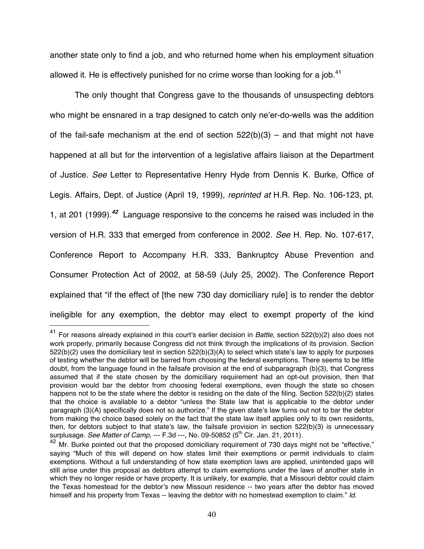another state only to find a job, and who returned home when his employment situation allowed it. He is effectively punished for no crime worse than looking for a job.<sup>41</sup>

The only thought that Congress gave to the thousands of unsuspecting debtors who might be ensnared in a trap designed to catch only ne'er-do-wells was the addition of the fail-safe mechanism at the end of section  $522(b)(3)$  – and that might not have happened at all but for the intervention of a legislative affairs liaison at the Department of Justice. *See* Letter to Representative Henry Hyde from Dennis K. Burke, Office of Legis. Affairs, Dept. of Justice (April 19, 1999), *reprinted at* H.R. Rep. No. 106-123, pt. 1, at 201 (1999).*<sup>42</sup>* Language responsive to the concerns he raised was included in the version of H.R. 333 that emerged from conference in 2002. *See* H. Rep. No. 107-617, Conference Report to Accompany H.R. 333, Bankruptcy Abuse Prevention and Consumer Protection Act of 2002, at 58-59 (July 25, 2002). The Conference Report explained that "if the effect of [the new 730 day domiciliary rule] is to render the debtor ineligible for any exemption, the debtor may elect to exempt property of the kind

<sup>41</sup> For reasons already explained in this court's earlier decision in *Battle*, section 522(b)(2) also does not work properly, primarily because Congress did not think through the implications of its provision. Section 522(b)(2) uses the domiciliary test in section 522(b)(3)(A) to select which state's law to apply for purposes of testing whether the debtor will be barred from choosing the federal exemptions. There seems to be little doubt, from the language found in the failsafe provision at the end of subparagraph (b)(3), that Congress assumed that if the state chosen by the domiciliary requirement had an opt-out provision, then that provision would bar the debtor from choosing federal exemptions, even though the state so chosen happens not to be the state where the debtor is residing on the date of the filing. Section 522(b)(2) states that the choice is available to a debtor "unless the State law that is applicable to the debtor under paragraph (3)(A) specifically does not so authorize." If the given state's law turns out not to bar the debtor from making the choice based solely on the fact that the state law itself applies only to its own residents, then, for debtors subject to that state's law, the failsafe provision in section 522(b)(3) is unnecessary surplusage. *See Matter of Camp*, --- F.3d ---, No. 09-50852 (5<sup>th</sup> Cir. Jan. 21, 2011).

 $42$  Mr. Burke pointed out that the proposed domiciliary requirement of 730 days might not be "effective," saying "Much of this will depend on how states limit their exemptions or permit individuals to claim exemptions. Without a full understanding of how state exemption laws are applied, unintended gaps will still arise under this proposal as debtors attempt to claim exemptions under the laws of another state in which they no longer reside or have property. It is unlikely, for example, that a Missouri debtor could claim the Texas homestead for the debtor's new Missouri residence -- two years after the debtor has moved himself and his property from Texas -- leaving the debtor with no homestead exemption to claim." *Id.*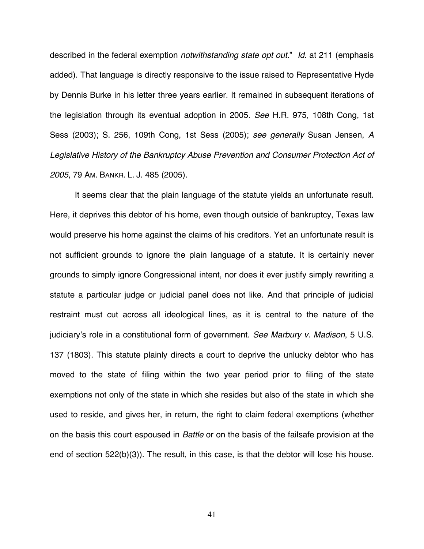described in the federal exemption *notwithstanding state opt out.*" *Id.* at 211 (emphasis added). That language is directly responsive to the issue raised to Representative Hyde by Dennis Burke in his letter three years earlier. It remained in subsequent iterations of the legislation through its eventual adoption in 2005. *See* H.R. 975, 108th Cong, 1st Sess (2003); S. 256, 109th Cong, 1st Sess (2005); *see generally* Susan Jensen, *A Legislative History of the Bankruptcy Abuse Prevention and Consumer Protection Act of 2005*, 79 AM. BANKR. L. J. 485 (2005).

It seems clear that the plain language of the statute yields an unfortunate result. Here, it deprives this debtor of his home, even though outside of bankruptcy, Texas law would preserve his home against the claims of his creditors. Yet an unfortunate result is not sufficient grounds to ignore the plain language of a statute. It is certainly never grounds to simply ignore Congressional intent, nor does it ever justify simply rewriting a statute a particular judge or judicial panel does not like. And that principle of judicial restraint must cut across all ideological lines, as it is central to the nature of the judiciary's role in a constitutional form of government. *See Marbury v. Madison*, 5 U.S. 137 (1803). This statute plainly directs a court to deprive the unlucky debtor who has moved to the state of filing within the two year period prior to filing of the state exemptions not only of the state in which she resides but also of the state in which she used to reside, and gives her, in return, the right to claim federal exemptions (whether on the basis this court espoused in *Battle* or on the basis of the failsafe provision at the end of section 522(b)(3)). The result, in this case, is that the debtor will lose his house.